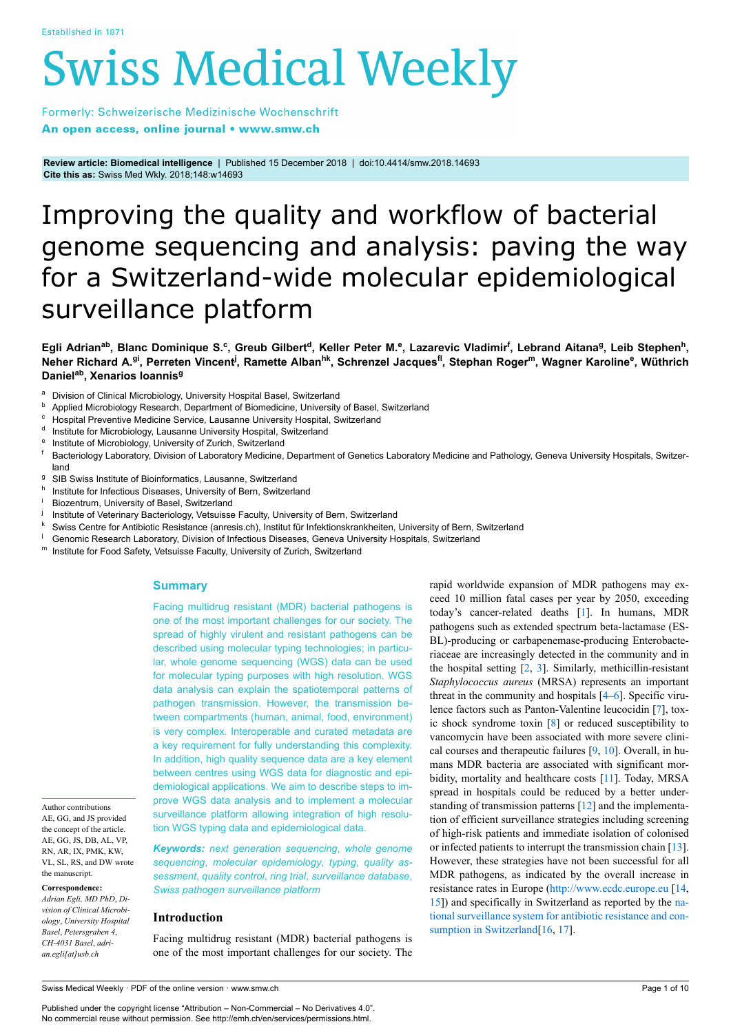# **Swiss Medical Weekly**

Formerly: Schweizerische Medizinische Wochenschrift An open access, online journal • www.smw.ch

**Review article: Biomedical intelligence** | Published 15 December 2018 | doi:10.4414/smw.2018.14693 **Cite this as:** Swiss Med Wkly. 2018;148:w14693

# Improving the quality and workflow of bacterial genome sequencing and analysis: paving the way for a Switzerland-wide molecular epidemiological surveillance platform

Egli Adrian<sup>ab</sup>, Blanc Dominique S.<sup>c</sup>, Greub Gilbert<sup>d</sup>, Keller Peter M.<sup>e</sup>, Lazarevic Vladimir<sup>f</sup>, Lebrand Aitana<sup>g</sup>, Leib Stephen<sup>h</sup>, **Neher Richard A.gi, Perreten Vincent<sup>j</sup> , Ramette Albanhk, Schrenzel Jacquesfl, Stephan Roger<sup>m</sup>, Wagner Karoline<sup>e</sup> , Wüthrich Danielab, Xenarios Ioannis<sup>g</sup>**

- a Division of Clinical Microbiology, University Hospital Basel, Switzerland
- **b** Applied Microbiology Research, Department of Biomedicine, University of Basel, Switzerland
- <sup>c</sup> Hospital Preventive Medicine Service, Lausanne University Hospital, Switzerland
- <sup>d</sup> Institute for Microbiology, Lausanne University Hospital, Switzerland
- e Institute of Microbiology, University of Zurich, Switzerland
- <sup>f</sup> Bacteriology Laboratory, Division of Laboratory Medicine, Department of Genetics Laboratory Medicine and Pathology, Geneva University Hospitals, Switzerland
- <sup>g</sup> SIB Swiss Institute of Bioinformatics, Lausanne, Switzerland
- h Institute for Infectious Diseases, University of Bern, Switzerland
- Biozentrum, University of Basel, Switzerland
- j Institute of Veterinary Bacteriology, Vetsuisse Faculty, University of Bern, Switzerland
- <sup>k</sup> Swiss Centre for Antibiotic Resistance (anresis.ch), Institut für Infektionskrankheiten, University of Bern, Switzerland
- Genomic Research Laboratory, Division of Infectious Diseases, Geneva University Hospitals, Switzerland
- <sup>m</sup> Institute for Food Safety, Vetsuisse Faculty, University of Zurich, Switzerland

#### **Summary**

Facing multidrug resistant (MDR) bacterial pathogens is one of the most important challenges for our society. The spread of highly virulent and resistant pathogens can be described using molecular typing technologies; in particular, whole genome sequencing (WGS) data can be used for molecular typing purposes with high resolution. WGS data analysis can explain the spatiotemporal patterns of pathogen transmission. However, the transmission between compartments (human, animal, food, environment) is very complex. Interoperable and curated metadata are a key requirement for fully understanding this complexity. In addition, high quality sequence data are a key element between centres using WGS data for diagnostic and epidemiological applications. We aim to describe steps to improve WGS data analysis and to implement a molecular surveillance platform allowing integration of high resolution WGS typing data and epidemiological data.

Author contributions AE, GG, and JS provided the concept of the article. AE, GG, JS, DB, AL, VP, RN, AR, IX, PMK, KW, VL, SL, RS, and DW wrote the manuscript.

**Correspondence:**

*Adrian Egli, MD PhD*, *Division of Clinical Microbiology*, *University Hospital Basel*, *Petersgraben 4*, *CH-4031 Basel*, *adrian.egli[at]usb.ch*

*Keywords: next generation sequencing*, *whole genome sequencing*, *molecular epidemiology*, *typing*, *quality assessment*, *quality control*, *ring trial*, *surveillance database*, *Swiss pathogen surveillance platform*

#### **Introduction**

Facing multidrug resistant (MDR) bacterial pathogens is one of the most important challenges for our society. The rapid worldwide expansion of MDR pathogens may exceed 10 million fatal cases per year by 2050, exceeding today's cancer-related deaths [\[1\]](#page-6-0). In humans, MDR pathogens such as extended spectrum beta-lactamase (ES-BL)-producing or carbapenemase-producing Enterobacteriaceae are increasingly detected in the community and in the hospital setting [\[2,](#page-6-1) [3\]](#page-6-2). Similarly, methicillin-resistant *Staphylococcus aureus* (MRSA) represents an important threat in the community and hospitals [\[4–](#page-6-3)[6\]](#page-6-4). Specific virulence factors such as Panton-Valentine leucocidin [[7](#page-6-5)], toxic shock syndrome toxin [[8](#page-6-6)] or reduced susceptibility to vancomycin have been associated with more severe clinical courses and therapeutic failures [\[9,](#page-6-7) [10\]](#page-6-8). Overall, in humans MDR bacteria are associated with significant morbidity, mortality and healthcare costs [[11](#page-6-9)]. Today, MRSA spread in hospitals could be reduced by a better understanding of transmission patterns [\[12](#page-6-10)] and the implementation of efficient surveillance strategies including screening of high-risk patients and immediate isolation of colonised or infected patients to interrupt the transmission chain [\[13](#page-6-11)]. However, these strategies have not been successful for all MDR pathogens, as indicated by the overall increase in resistance rates in Europe [\(http://www.ecdc.europe.eu](http://www.ecdc.europe.eu/) [\[14](#page-6-12), [15](#page-6-13)]) and specifically in Switzerland as reported by the [na](http://www.anresis.ch/)[tional surveillance system for antibiotic resistance and con](http://www.anresis.ch/)[sumption in Switzerland](http://www.anresis.ch/)<sup>[\[16](#page-6-14), [17\]](#page-6-15)</sup>.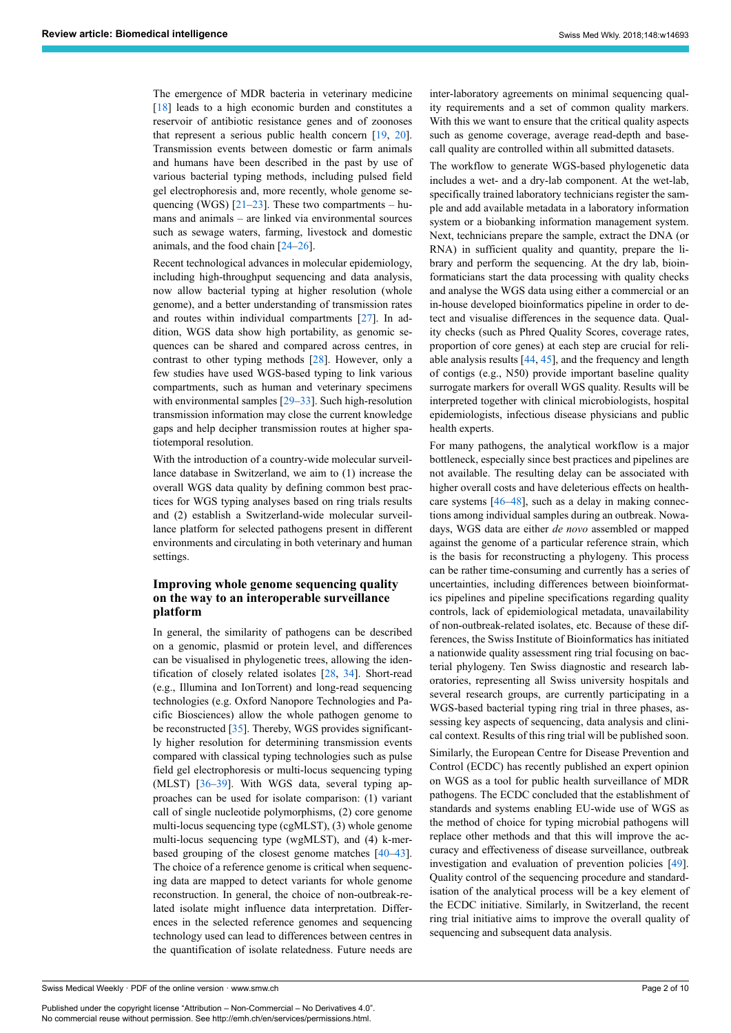The emergence of MDR bacteria in veterinary medicine [[18\]](#page-6-16) leads to a high economic burden and constitutes a reservoir of antibiotic resistance genes and of zoonoses that represent a serious public health concern [\[19](#page-6-17), [20\]](#page-6-18). Transmission events between domestic or farm animals and humans have been described in the past by use of various bacterial typing methods, including pulsed field gel electrophoresis and, more recently, whole genome sequencing (WGS)  $[21-23]$  $[21-23]$  $[21-23]$ . These two compartments – humans and animals – are linked via environmental sources such as sewage waters, farming, livestock and domestic animals, and the food chain [\[24](#page-6-21)–[26\]](#page-7-0).

Recent technological advances in molecular epidemiology, including high-throughput sequencing and data analysis, now allow bacterial typing at higher resolution (whole genome), and a better understanding of transmission rates and routes within individual compartments [\[27](#page-7-1)]. In addition, WGS data show high portability, as genomic sequences can be shared and compared across centres, in contrast to other typing methods [[28\]](#page-7-2). However, only a few studies have used WGS-based typing to link various compartments, such as human and veterinary specimens with environmental samples [[29](#page-7-3)[–33](#page-7-4)]. Such high-resolution transmission information may close the current knowledge gaps and help decipher transmission routes at higher spatiotemporal resolution.

With the introduction of a country-wide molecular surveillance database in Switzerland, we aim to (1) increase the overall WGS data quality by defining common best practices for WGS typing analyses based on ring trials results and (2) establish a Switzerland-wide molecular surveillance platform for selected pathogens present in different environments and circulating in both veterinary and human settings.

# **Improving whole genome sequencing quality on the way to an interoperable surveillance platform**

In general, the similarity of pathogens can be described on a genomic, plasmid or protein level, and differences can be visualised in phylogenetic trees, allowing the identification of closely related isolates [\[28](#page-7-2), [34\]](#page-7-5). Short-read (e.g., Illumina and IonTorrent) and long-read sequencing technologies (e.g. Oxford Nanopore Technologies and Pacific Biosciences) allow the whole pathogen genome to be reconstructed [\[35](#page-7-6)]. Thereby, WGS provides significantly higher resolution for determining transmission events compared with classical typing technologies such as pulse field gel electrophoresis or multi-locus sequencing typing (MLST) [[36](#page-7-7)[–39](#page-7-8)]. With WGS data, several typing approaches can be used for isolate comparison: (1) variant call of single nucleotide polymorphisms, (2) core genome multi-locus sequencing type (cgMLST), (3) whole genome multi-locus sequencing type (wgMLST), and (4) k-merbased grouping of the closest genome matches [\[40](#page-7-9)–[43\]](#page-7-10). The choice of a reference genome is critical when sequencing data are mapped to detect variants for whole genome reconstruction. In general, the choice of non-outbreak-related isolate might influence data interpretation. Differences in the selected reference genomes and sequencing technology used can lead to differences between centres in the quantification of isolate relatedness. Future needs are inter-laboratory agreements on minimal sequencing quality requirements and a set of common quality markers. With this we want to ensure that the critical quality aspects such as genome coverage, average read-depth and basecall quality are controlled within all submitted datasets.

The workflow to generate WGS-based phylogenetic data includes a wet- and a dry-lab component. At the wet-lab, specifically trained laboratory technicians register the sample and add available metadata in a laboratory information system or a biobanking information management system. Next, technicians prepare the sample, extract the DNA (or RNA) in sufficient quality and quantity, prepare the library and perform the sequencing. At the dry lab, bioinformaticians start the data processing with quality checks and analyse the WGS data using either a commercial or an in-house developed bioinformatics pipeline in order to detect and visualise differences in the sequence data. Quality checks (such as Phred Quality Scores, coverage rates, proportion of core genes) at each step are crucial for reliable analysis results [\[44](#page-7-11), [45\]](#page-7-12), and the frequency and length of contigs (e.g., N50) provide important baseline quality surrogate markers for overall WGS quality. Results will be interpreted together with clinical microbiologists, hospital epidemiologists, infectious disease physicians and public health experts.

For many pathogens, the analytical workflow is a major bottleneck, especially since best practices and pipelines are not available. The resulting delay can be associated with higher overall costs and have deleterious effects on healthcare systems [[46–](#page-7-13)[48](#page-7-14)], such as a delay in making connections among individual samples during an outbreak. Nowadays, WGS data are either *de novo* assembled or mapped against the genome of a particular reference strain, which is the basis for reconstructing a phylogeny. This process can be rather time-consuming and currently has a series of uncertainties, including differences between bioinformatics pipelines and pipeline specifications regarding quality controls, lack of epidemiological metadata, unavailability of non-outbreak-related isolates, etc. Because of these differences, the Swiss Institute of Bioinformatics has initiated a nationwide quality assessment ring trial focusing on bacterial phylogeny. Ten Swiss diagnostic and research laboratories, representing all Swiss university hospitals and several research groups, are currently participating in a WGS-based bacterial typing ring trial in three phases, assessing key aspects of sequencing, data analysis and clinical context. Results of this ring trial will be published soon.

Similarly, the European Centre for Disease Prevention and Control (ECDC) has recently published an expert opinion on WGS as a tool for public health surveillance of MDR pathogens. The ECDC concluded that the establishment of standards and systems enabling EU-wide use of WGS as the method of choice for typing microbial pathogens will replace other methods and that this will improve the accuracy and effectiveness of disease surveillance, outbreak investigation and evaluation of prevention policies [\[49](#page-7-4)]. Quality control of the sequencing procedure and standardisation of the analytical process will be a key element of the ECDC initiative. Similarly, in Switzerland, the recent ring trial initiative aims to improve the overall quality of sequencing and subsequent data analysis.

Swiss Medical Weekly · PDF of the online version · www.smw.ch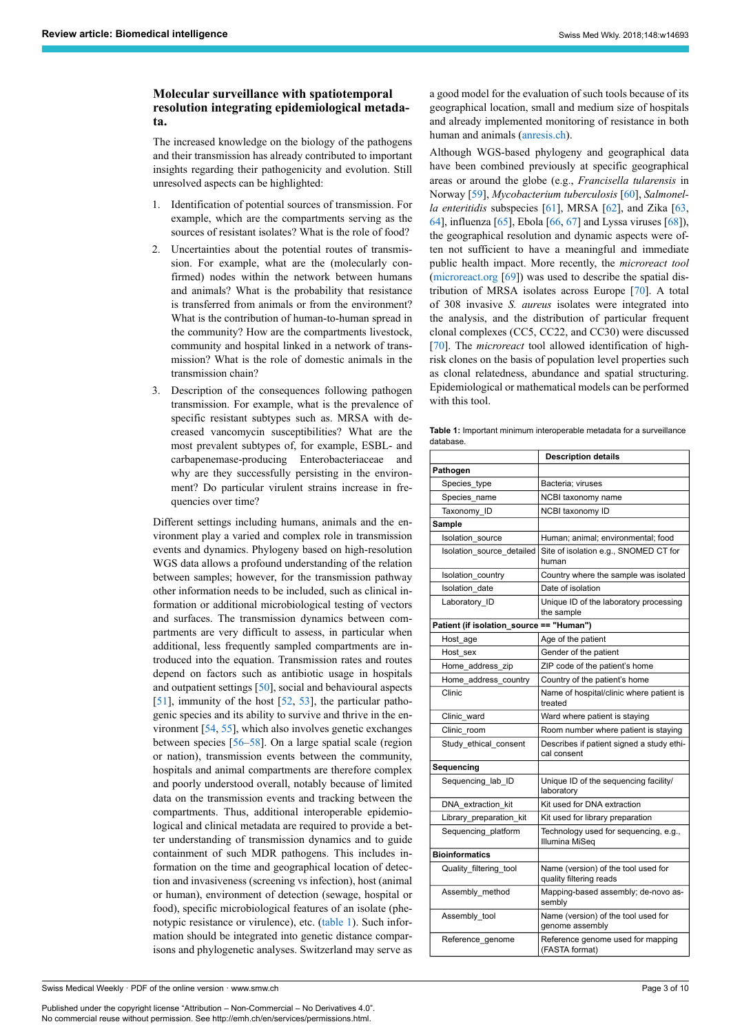# **Molecular surveillance with spatiotemporal resolution integrating epidemiological metadata.**

The increased knowledge on the biology of the pathogens and their transmission has already contributed to important insights regarding their pathogenicity and evolution. Still unresolved aspects can be highlighted:

- 1. Identification of potential sources of transmission. For example, which are the compartments serving as the sources of resistant isolates? What is the role of food?
- 2. Uncertainties about the potential routes of transmission. For example, what are the (molecularly confirmed) nodes within the network between humans and animals? What is the probability that resistance is transferred from animals or from the environment? What is the contribution of human-to-human spread in the community? How are the compartments livestock, community and hospital linked in a network of transmission? What is the role of domestic animals in the transmission chain?
- <span id="page-2-0"></span>3. Description of the consequences following pathogen transmission. For example, what is the prevalence of specific resistant subtypes such as. MRSA with decreased vancomycin susceptibilities? What are the most prevalent subtypes of, for example, ESBL- and carbapenemase-producing Enterobacteriaceae and why are they successfully persisting in the environment? Do particular virulent strains increase in frequencies over time?

Different settings including humans, animals and the environment play a varied and complex role in transmission events and dynamics. Phylogeny based on high-resolution WGS data allows a profound understanding of the relation between samples; however, for the transmission pathway other information needs to be included, such as clinical information or additional microbiological testing of vectors and surfaces. The transmission dynamics between compartments are very difficult to assess, in particular when additional, less frequently sampled compartments are introduced into the equation. Transmission rates and routes depend on factors such as antibiotic usage in hospitals and outpatient settings [[50\]](#page-7-15), social and behavioural aspects [[51\]](#page-7-16), immunity of the host [\[52](#page-7-17), [53\]](#page-7-18), the particular pathogenic species and its ability to survive and thrive in the environment [[54,](#page-7-19) [55](#page-7-20)], which also involves genetic exchanges between species [[56–](#page-7-21)[58](#page-7-22)]. On a large spatial scale (region or nation), transmission events between the community, hospitals and animal compartments are therefore complex and poorly understood overall, notably because of limited data on the transmission events and tracking between the compartments. Thus, additional interoperable epidemiological and clinical metadata are required to provide a better understanding of transmission dynamics and to guide containment of such MDR pathogens. This includes information on the time and geographical location of detection and invasiveness (screening vs infection), host (animal or human), environment of detection (sewage, hospital or food), specific microbiological features of an isolate (phe-notypic resistance or virulence), etc. [\(table 1\)](#page-2-0). Such information should be integrated into genetic distance comparisons and phylogenetic analyses. Switzerland may serve as

Swiss Medical Weekly · PDF of the online version · www.smw.ch

Published under the copyright license "Attribution – Non-Commercial – No Derivatives 4.0". No commercial reuse without permission. See http://emh.ch/en/services/permissions.html.

a good model for the evaluation of such tools because of its geographical location, small and medium size of hospitals and already implemented monitoring of resistance in both human and animals [\(anresis.ch](http://www.anresis.ch/index.php/anresis.html)).

Although WGS-based phylogeny and geographical data have been combined previously at specific geographical areas or around the globe (e.g., *Francisella tularensis* in Norway [\[59](#page-8-0)], *Mycobacterium tuberculosis* [\[60](#page-8-1)], *Salmonella enteritidis* subspecies [[61\]](#page-8-2), MRSA [[62\]](#page-8-3), and Zika [\[63](#page-8-4), [64](#page-8-5)], influenza [\[65](#page-8-6)], Ebola [[66,](#page-8-7) [67](#page-8-8)] and Lyssa viruses [\[68](#page-8-9)]), the geographical resolution and dynamic aspects were often not sufficient to have a meaningful and immediate public health impact. More recently, the *microreact tool* [\(microreact.org](https://microreact.org/) [\[69](#page-8-10)]) was used to describe the spatial distribution of MRSA isolates across Europe [[70\]](#page-8-11). A total of 308 invasive *S. aureus* isolates were integrated into the analysis, and the distribution of particular frequent clonal complexes (CC5, CC22, and CC30) were discussed [\[70](#page-8-11)]. The *microreact* tool allowed identification of highrisk clones on the basis of population level properties such as clonal relatedness, abundance and spatial structuring. Epidemiological or mathematical models can be performed with this tool.

**Table 1:** Important minimum interoperable metadata for a surveillance database.

|                                          | <b>Description details</b>                                     |
|------------------------------------------|----------------------------------------------------------------|
| Pathogen                                 |                                                                |
| Species_type                             | Bacteria; viruses                                              |
| Species name                             | NCBI taxonomy name                                             |
| Taxonomy ID                              | NCBI taxonomy ID                                               |
| Sample                                   |                                                                |
| <b>Isolation</b> source                  | Human; animal; environmental; food                             |
| Isolation source detailed                | Site of isolation e.g., SNOMED CT for<br>human                 |
| Isolation country                        | Country where the sample was isolated                          |
| Isolation date                           | Date of isolation                                              |
| Laboratory ID                            | Unique ID of the laboratory processing<br>the sample           |
| Patient (if isolation_source == "Human") |                                                                |
| Host age                                 | Age of the patient                                             |
| Host sex                                 | Gender of the patient                                          |
| Home address zip                         | ZIP code of the patient's home                                 |
| Home address country                     | Country of the patient's home                                  |
| Clinic                                   | Name of hospital/clinic where patient is<br>treated            |
| Clinic ward                              | Ward where patient is staying                                  |
| Clinic room                              | Room number where patient is staying                           |
| Study ethical consent                    | Describes if patient signed a study ethi-<br>cal consent       |
| Sequencing                               |                                                                |
| Sequencing_lab_ID                        | Unique ID of the sequencing facility/<br>laboratory            |
| DNA extraction kit                       | Kit used for DNA extraction                                    |
| Library_preparation_kit                  | Kit used for library preparation                               |
| Sequencing platform                      | Technology used for sequencing, e.g.,<br>Illumina MiSeq        |
| <b>Bioinformatics</b>                    |                                                                |
| Quality_filtering_tool                   | Name (version) of the tool used for<br>quality filtering reads |
| Assembly method                          | Mapping-based assembly; de-novo as-<br>sembly                  |
| Assembly_tool                            | Name (version) of the tool used for<br>genome assembly         |
| Reference genome                         | Reference genome used for mapping<br>(FASTA format)            |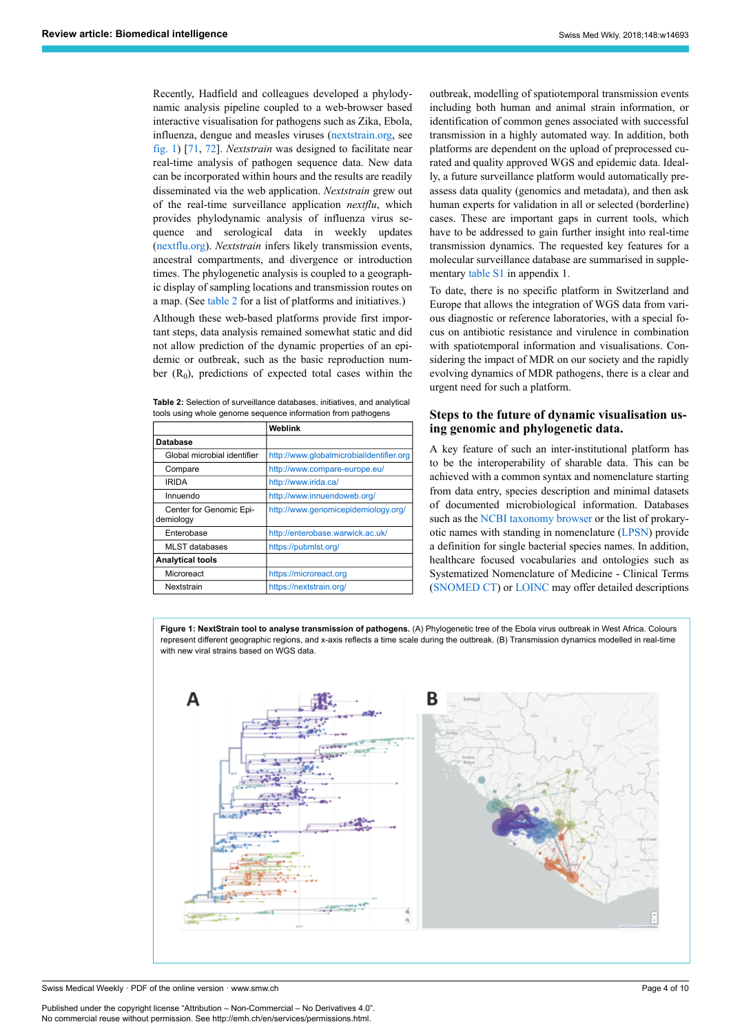Recently, Hadfield and colleagues developed a phylodynamic analysis pipeline coupled to a web-browser based interactive visualisation for pathogens such as Zika, Ebola, influenza, dengue and measles viruses ([nextstrain.org](https://nextstrain.org/), see [fig. 1](#page-3-0)) [\[71](#page-8-12), [72](#page-8-13)]. *Nextstrain* was designed to facilitate near real-time analysis of pathogen sequence data. New data can be incorporated within hours and the results are readily disseminated via the web application. *Nextstrain* grew out of the real-time surveillance application *nextflu*, which provides phylodynamic analysis of influenza virus sequence and serological data in weekly updates ([nextflu.org](https://nextstrain.org/flu/seasonal/h3n2/ha/3y)). *Nextstrain* infers likely transmission events, ancestral compartments, and divergence or introduction times. The phylogenetic analysis is coupled to a geographic display of sampling locations and transmission routes on a map. (See [table 2](#page-3-1) for a list of platforms and initiatives.)

Although these web-based platforms provide first important steps, data analysis remained somewhat static and did not allow prediction of the dynamic properties of an epidemic or outbreak, such as the basic reproduction number  $(R_0)$ , predictions of expected total cases within the

<span id="page-3-1"></span>**Table 2:** Selection of surveillance databases, initiatives, and analytical tools using whole genome sequence information from pathogens

|                                      | Weblink                                  |
|--------------------------------------|------------------------------------------|
| <b>Database</b>                      |                                          |
| Global microbial identifier          | http://www.globalmicrobialidentifier.org |
| Compare                              | http://www.compare-europe.eu/            |
| <b>IRIDA</b>                         | http://www.irida.ca/                     |
| Innuendo                             | http://www.innuendoweb.org/              |
| Center for Genomic Epi-<br>demiology | http://www.genomicepidemiology.org/      |
| Enterobase                           | http://enterobase.warwick.ac.uk/         |
| MLST databases                       | https://pubmlst.org/                     |
| <b>Analytical tools</b>              |                                          |
| Microreact                           | https://microreact.org                   |
| Nextstrain                           | https://nextstrain.org/                  |

outbreak, modelling of spatiotemporal transmission events including both human and animal strain information, or identification of common genes associated with successful transmission in a highly automated way. In addition, both platforms are dependent on the upload of preprocessed curated and quality approved WGS and epidemic data. Ideally, a future surveillance platform would automatically preassess data quality (genomics and metadata), and then ask human experts for validation in all or selected (borderline) cases. These are important gaps in current tools, which have to be addressed to gain further insight into real-time transmission dynamics. The requested key features for a molecular surveillance database are summarised in supplementary [table S1](#page-9-0) in appendix 1.

To date, there is no specific platform in Switzerland and Europe that allows the integration of WGS data from various diagnostic or reference laboratories, with a special focus on antibiotic resistance and virulence in combination with spatiotemporal information and visualisations. Considering the impact of MDR on our society and the rapidly evolving dynamics of MDR pathogens, there is a clear and urgent need for such a platform.

#### **Steps to the future of dynamic visualisation using genomic and phylogenetic data.**

A key feature of such an inter-institutional platform has to be the interoperability of sharable data. This can be achieved with a common syntax and nomenclature starting from data entry, species description and minimal datasets of documented microbiological information. Databases such as the [NCBI taxonomy browser](https://www.ncbi.nlm.nih.gov/Taxonomy/Browser) or the list of prokaryotic names with standing in nomenclature [\(LPSN](http://www.bacterio.net/)) provide a definition for single bacterial species names. In addition, healthcare focused vocabularies and ontologies such as Systematized Nomenclature of Medicine - Clinical Terms [\(SNOMED CT\)](https://www.e-health-suisse.ch/startseite.html) or [LOINC](https://loinc.org/) may offer detailed descriptions

**Figure 1: NextStrain tool to analyse transmission of pathogens.** (A) Phylogenetic tree of the Ebola virus outbreak in West Africa. Colours represent different geographic regions, and x-axis reflects a time scale during the outbreak. (B) Transmission dynamics modelled in real-time with new viral strains based on WGS data

<span id="page-3-0"></span>

Swiss Medical Weekly · PDF of the online version · www.smw.ch

Published under the copyright license "Attribution – Non-Commercial – No Derivatives 4.0". No commercial reuse without permission. See http://emh.ch/en/services/permissions.html.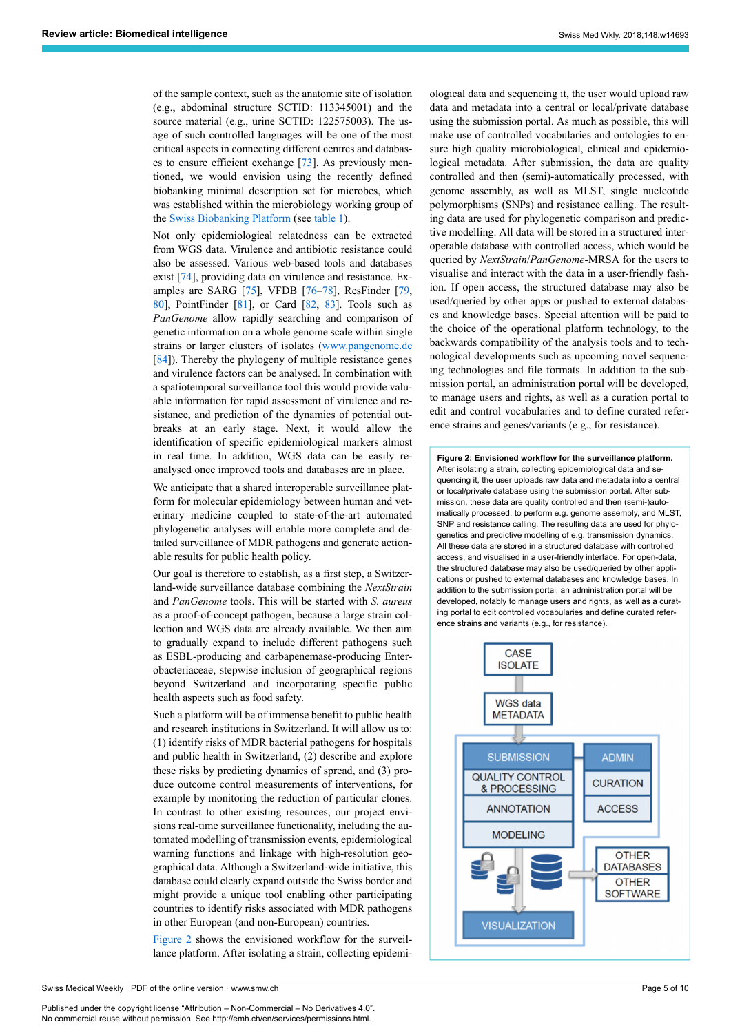of the sample context, such as the anatomic site of isolation (e.g., abdominal structure SCTID: 113345001) and the source material (e.g., urine SCTID: 122575003). The usage of such controlled languages will be one of the most critical aspects in connecting different centres and databases to ensure efficient exchange [[73\]](#page-8-14). As previously mentioned, we would envision using the recently defined biobanking minimal description set for microbes, which was established within the microbiology working group of the [Swiss Biobanking Platform](http://www.swissbiobanking.ch/) (see [table 1](#page-2-0)).

Not only epidemiological relatedness can be extracted from WGS data. Virulence and antibiotic resistance could also be assessed. Various web-based tools and databases exist [\[74](#page-8-15)], providing data on virulence and resistance. Examples are SARG [[75\]](#page-8-16), VFDB [\[76](#page-8-17)–[78\]](#page-8-18), ResFinder [[79,](#page-8-19) [80\]](#page-8-20), PointFinder [\[81](#page-8-21)], or Card [[82,](#page-8-7) [83\]](#page-8-22). Tools such as *PanGenome* allow rapidly searching and comparison of genetic information on a whole genome scale within single strains or larger clusters of isolates ([www.pangenome.de](http://www.pangenome.de/) [[84\]](#page-8-23)). Thereby the phylogeny of multiple resistance genes and virulence factors can be analysed. In combination with a spatiotemporal surveillance tool this would provide valuable information for rapid assessment of virulence and resistance, and prediction of the dynamics of potential outbreaks at an early stage. Next, it would allow the identification of specific epidemiological markers almost in real time. In addition, WGS data can be easily reanalysed once improved tools and databases are in place.

<span id="page-4-0"></span>We anticipate that a shared interoperable surveillance platform for molecular epidemiology between human and veterinary medicine coupled to state-of-the-art automated phylogenetic analyses will enable more complete and detailed surveillance of MDR pathogens and generate actionable results for public health policy.

Our goal is therefore to establish, as a first step, a Switzerland-wide surveillance database combining the *NextStrain* and *PanGenome* tools. This will be started with *S. aureus* as a proof-of-concept pathogen, because a large strain collection and WGS data are already available. We then aim to gradually expand to include different pathogens such as ESBL-producing and carbapenemase-producing Enterobacteriaceae, stepwise inclusion of geographical regions beyond Switzerland and incorporating specific public health aspects such as food safety.

Such a platform will be of immense benefit to public health and research institutions in Switzerland. It will allow us to: (1) identify risks of MDR bacterial pathogens for hospitals and public health in Switzerland, (2) describe and explore these risks by predicting dynamics of spread, and (3) produce outcome control measurements of interventions, for example by monitoring the reduction of particular clones. In contrast to other existing resources, our project envisions real-time surveillance functionality, including the automated modelling of transmission events, epidemiological warning functions and linkage with high-resolution geographical data. Although a Switzerland-wide initiative, this database could clearly expand outside the Swiss border and might provide a unique tool enabling other participating countries to identify risks associated with MDR pathogens in other European (and non-European) countries.

[Figure 2](#page-4-0) shows the envisioned workflow for the surveillance platform. After isolating a strain, collecting epidemiological data and sequencing it, the user would upload raw data and metadata into a central or local/private database using the submission portal. As much as possible, this will make use of controlled vocabularies and ontologies to ensure high quality microbiological, clinical and epidemiological metadata. After submission, the data are quality controlled and then (semi)-automatically processed, with genome assembly, as well as MLST, single nucleotide polymorphisms (SNPs) and resistance calling. The resulting data are used for phylogenetic comparison and predictive modelling. All data will be stored in a structured interoperable database with controlled access, which would be queried by *NextStrain*/*PanGenome*-MRSA for the users to visualise and interact with the data in a user-friendly fashion. If open access, the structured database may also be used/queried by other apps or pushed to external databases and knowledge bases. Special attention will be paid to the choice of the operational platform technology, to the backwards compatibility of the analysis tools and to technological developments such as upcoming novel sequencing technologies and file formats. In addition to the submission portal, an administration portal will be developed, to manage users and rights, as well as a curation portal to edit and control vocabularies and to define curated reference strains and genes/variants (e.g., for resistance).

**Figure 2: Envisioned workflow for the surveillance platform.** After isolating a strain, collecting epidemiological data and sequencing it, the user uploads raw data and metadata into a central or local/private database using the submission portal. After submission, these data are quality controlled and then (semi-)automatically processed, to perform e.g. genome assembly, and MLST, SNP and resistance calling. The resulting data are used for phylogenetics and predictive modelling of e.g. transmission dynamics. All these data are stored in a structured database with controlled access, and visualised in a user-friendly interface. For open-data, the structured database may also be used/queried by other applications or pushed to external databases and knowledge bases. In addition to the submission portal, an administration portal will be developed, notably to manage users and rights, as well as a curating portal to edit controlled vocabularies and define curated reference strains and variants (e.g., for resistance).

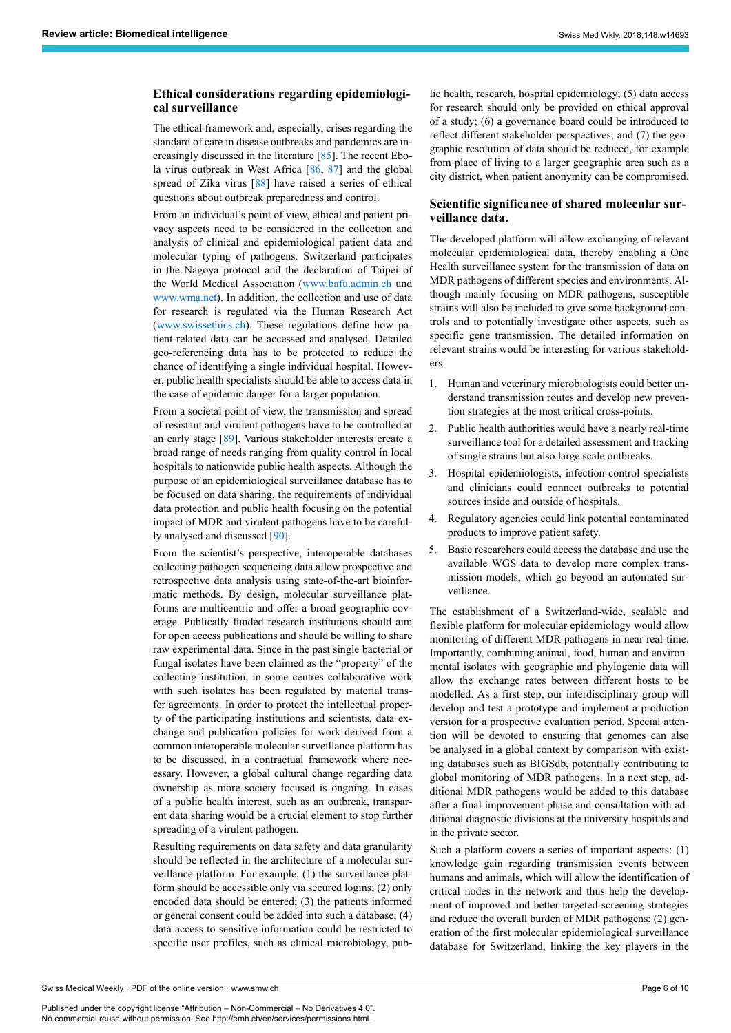# **Ethical considerations regarding epidemiological surveillance**

The ethical framework and, especially, crises regarding the standard of care in disease outbreaks and pandemics are increasingly discussed in the literature [\[85](#page-8-10)]. The recent Ebola virus outbreak in West Africa [\[86](#page-8-11), [87](#page-8-12)] and the global spread of Zika virus [[88\]](#page-8-14) have raised a series of ethical questions about outbreak preparedness and control.

From an individual's point of view, ethical and patient privacy aspects need to be considered in the collection and analysis of clinical and epidemiological patient data and molecular typing of pathogens. Switzerland participates in the Nagoya protocol and the declaration of Taipei of the World Medical Association [\(www.bafu.admin.ch](https://www.bafu.admin.ch/bafu/de/home.html) und [www.wma.net\)](https://www.wma.net/policies-post/wma-declaration-of-helsinki-ethical-principles-for-medical-research-involving-human-subjects/). In addition, the collection and use of data for research is regulated via the Human Research Act ([www.swissethics.ch](https://www.swissethics.ch/)). These regulations define how patient-related data can be accessed and analysed. Detailed geo-referencing data has to be protected to reduce the chance of identifying a single individual hospital. However, public health specialists should be able to access data in the case of epidemic danger for a larger population.

From a societal point of view, the transmission and spread of resistant and virulent pathogens have to be controlled at an early stage [[89\]](#page-8-24). Various stakeholder interests create a broad range of needs ranging from quality control in local hospitals to nationwide public health aspects. Although the purpose of an epidemiological surveillance database has to be focused on data sharing, the requirements of individual data protection and public health focusing on the potential impact of MDR and virulent pathogens have to be carefully analysed and discussed [[90\]](#page-8-25).

From the scientist's perspective, interoperable databases collecting pathogen sequencing data allow prospective and retrospective data analysis using state-of-the-art bioinformatic methods. By design, molecular surveillance platforms are multicentric and offer a broad geographic coverage. Publically funded research institutions should aim for open access publications and should be willing to share raw experimental data. Since in the past single bacterial or fungal isolates have been claimed as the "property" of the collecting institution, in some centres collaborative work with such isolates has been regulated by material transfer agreements. In order to protect the intellectual property of the participating institutions and scientists, data exchange and publication policies for work derived from a common interoperable molecular surveillance platform has to be discussed, in a contractual framework where necessary. However, a global cultural change regarding data ownership as more society focused is ongoing. In cases of a public health interest, such as an outbreak, transparent data sharing would be a crucial element to stop further spreading of a virulent pathogen.

Resulting requirements on data safety and data granularity should be reflected in the architecture of a molecular surveillance platform. For example, (1) the surveillance platform should be accessible only via secured logins; (2) only encoded data should be entered; (3) the patients informed or general consent could be added into such a database; (4) data access to sensitive information could be restricted to specific user profiles, such as clinical microbiology, public health, research, hospital epidemiology; (5) data access for research should only be provided on ethical approval of a study; (6) a governance board could be introduced to reflect different stakeholder perspectives; and (7) the geographic resolution of data should be reduced, for example from place of living to a larger geographic area such as a city district, when patient anonymity can be compromised.

#### **Scientific significance of shared molecular surveillance data.**

The developed platform will allow exchanging of relevant molecular epidemiological data, thereby enabling a One Health surveillance system for the transmission of data on MDR pathogens of different species and environments. Although mainly focusing on MDR pathogens, susceptible strains will also be included to give some background controls and to potentially investigate other aspects, such as specific gene transmission. The detailed information on relevant strains would be interesting for various stakeholders:

- 1. Human and veterinary microbiologists could better understand transmission routes and develop new prevention strategies at the most critical cross-points.
- 2. Public health authorities would have a nearly real-time surveillance tool for a detailed assessment and tracking of single strains but also large scale outbreaks.
- 3. Hospital epidemiologists, infection control specialists and clinicians could connect outbreaks to potential sources inside and outside of hospitals.
- 4. Regulatory agencies could link potential contaminated products to improve patient safety.
- 5. Basic researchers could access the database and use the available WGS data to develop more complex transmission models, which go beyond an automated surveillance.

The establishment of a Switzerland-wide, scalable and flexible platform for molecular epidemiology would allow monitoring of different MDR pathogens in near real-time. Importantly, combining animal, food, human and environmental isolates with geographic and phylogenic data will allow the exchange rates between different hosts to be modelled. As a first step, our interdisciplinary group will develop and test a prototype and implement a production version for a prospective evaluation period. Special attention will be devoted to ensuring that genomes can also be analysed in a global context by comparison with existing databases such as BIGSdb, potentially contributing to global monitoring of MDR pathogens. In a next step, additional MDR pathogens would be added to this database after a final improvement phase and consultation with additional diagnostic divisions at the university hospitals and in the private sector.

Such a platform covers a series of important aspects: (1) knowledge gain regarding transmission events between humans and animals, which will allow the identification of critical nodes in the network and thus help the development of improved and better targeted screening strategies and reduce the overall burden of MDR pathogens; (2) generation of the first molecular epidemiological surveillance database for Switzerland, linking the key players in the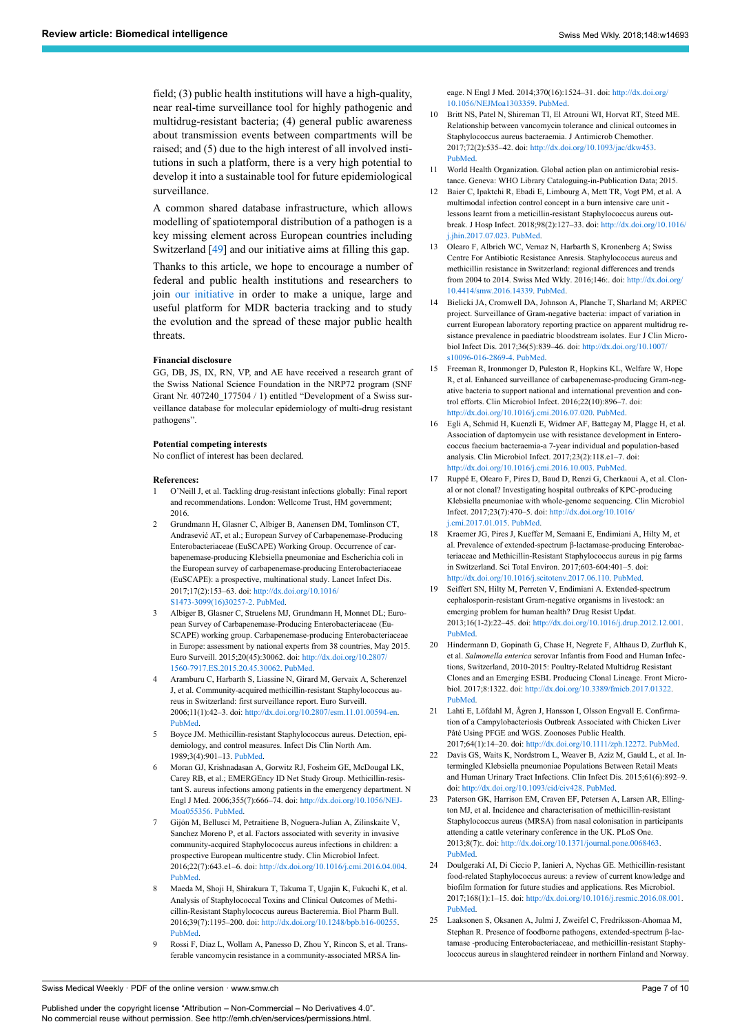<span id="page-6-8"></span>field; (3) public health institutions will have a high-quality, near real-time surveillance tool for highly pathogenic and multidrug-resistant bacteria; (4) general public awareness about transmission events between compartments will be raised; and (5) due to the high interest of all involved institutions in such a platform, there is a very high potential to develop it into a sustainable tool for future epidemiological surveillance.

<span id="page-6-10"></span><span id="page-6-9"></span>A common shared database infrastructure, which allows modelling of spatiotemporal distribution of a pathogen is a key missing element across European countries including Switzerland [[49\]](#page-7-4) and our initiative aims at filling this gap.

<span id="page-6-12"></span><span id="page-6-11"></span>Thanks to this article, we hope to encourage a number of federal and public health institutions and researchers to join [our initiative](http://www.spsp.ch/) in order to make a unique, large and useful platform for MDR bacteria tracking and to study the evolution and the spread of these major public health threats.

#### **Financial disclosure**

<span id="page-6-13"></span>GG, DB, JS, IX, RN, VP, and AE have received a research grant of the Swiss National Science Foundation in the NRP72 program (SNF Grant Nr. 407240\_177504 / 1) entitled "Development of a Swiss surveillance database for molecular epidemiology of multi-drug resistant pathogens".

#### <span id="page-6-14"></span>**Potential competing interests**

No conflict of interest has been declared.

#### <span id="page-6-15"></span><span id="page-6-0"></span>**References:**

- 1 O'Neill J, et al. Tackling drug-resistant infections globally: Final report and recommendations. London: Wellcome Trust, HM government; 2016.
- <span id="page-6-16"></span><span id="page-6-1"></span>2 Grundmann H, Glasner C, Albiger B, Aanensen DM, Tomlinson CT, Andrasević AT, et al.; European Survey of Carbapenemase-Producing Enterobacteriaceae (EuSCAPE) Working Group. Occurrence of carbapenemase-producing Klebsiella pneumoniae and Escherichia coli in the European survey of carbapenemase-producing Enterobacteriaceae (EuSCAPE): a prospective, multinational study. Lancet Infect Dis. 2017;17(2):153–63. doi: [http://dx.doi.org/10.1016/](http://dx.doi.org/10.1016/S1473-3099(16)30257-2) [S1473-3099\(16\)30257-2.](http://dx.doi.org/10.1016/S1473-3099(16)30257-2) [PubMed.](http://www.ncbi.nlm.nih.gov/entrez/query.fcgi?cmd=Retrieve&db=PubMed&list_uids=27866944&dopt=Abstract)
- <span id="page-6-18"></span><span id="page-6-17"></span><span id="page-6-2"></span>3 Albiger B, Glasner C, Struelens MJ, Grundmann H, Monnet DL; European Survey of Carbapenemase-Producing Enterobacteriaceae (Eu-SCAPE) working group. Carbapenemase-producing Enterobacteriaceae in Europe: assessment by national experts from 38 countries, May 2015. Euro Surveill. 2015;20(45):30062. doi: [http://dx.doi.org/10.2807/](http://dx.doi.org/10.2807/1560-7917.ES.2015.20.45.30062) [1560-7917.ES.2015.20.45.30062](http://dx.doi.org/10.2807/1560-7917.ES.2015.20.45.30062). [PubMed.](http://www.ncbi.nlm.nih.gov/entrez/query.fcgi?cmd=Retrieve&db=PubMed&list_uids=26675038&dopt=Abstract)
- <span id="page-6-3"></span>4 Aramburu C, Harbarth S, Liassine N, Girard M, Gervaix A, Scherenzel J, et al. Community-acquired methicillin-resistant Staphylococcus aureus in Switzerland: first surveillance report. Euro Surveill. 2006;11(1):42–3. doi: [http://dx.doi.org/10.2807/esm.11.01.00594-en.](http://dx.doi.org/10.2807/esm.11.01.00594-en) [PubMed.](http://www.ncbi.nlm.nih.gov/entrez/query.fcgi?cmd=Retrieve&db=PubMed&list_uids=16484729&dopt=Abstract)
- <span id="page-6-19"></span>5 Boyce JM. Methicillin-resistant Staphylococcus aureus. Detection, epidemiology, and control measures. Infect Dis Clin North Am. 1989;3(4):901–13. [PubMed.](http://www.ncbi.nlm.nih.gov/entrez/query.fcgi?cmd=Retrieve&db=PubMed&list_uids=2687368&dopt=Abstract)
- <span id="page-6-4"></span>6 Moran GJ, Krishnadasan A, Gorwitz RJ, Fosheim GE, McDougal LK, Carey RB, et al.; EMERGEncy ID Net Study Group. Methicillin-resistant S. aureus infections among patients in the emergency department. N Engl J Med. 2006;355(7):666–74. doi: [http://dx.doi.org/10.1056/NEJ-](http://dx.doi.org/10.1056/NEJMoa055356)[Moa055356.](http://dx.doi.org/10.1056/NEJMoa055356) [PubMed.](http://www.ncbi.nlm.nih.gov/entrez/query.fcgi?cmd=Retrieve&db=PubMed&list_uids=16914702&dopt=Abstract)
- <span id="page-6-20"></span><span id="page-6-5"></span>7 Gijón M, Bellusci M, Petraitiene B, Noguera-Julian A, Zilinskaite V, Sanchez Moreno P, et al. Factors associated with severity in invasive community-acquired Staphylococcus aureus infections in children: a prospective European multicentre study. Clin Microbiol Infect. 2016;22(7):643.e1–6. doi: [http://dx.doi.org/10.1016/j.cmi.2016.04.004.](http://dx.doi.org/10.1016/j.cmi.2016.04.004) [PubMed.](http://www.ncbi.nlm.nih.gov/entrez/query.fcgi?cmd=Retrieve&db=PubMed&list_uids=27107685&dopt=Abstract)
- 8 Maeda M, Shoji H, Shirakura T, Takuma T, Ugajin K, Fukuchi K, et al. Analysis of Staphylococcal Toxins and Clinical Outcomes of Methicillin-Resistant Staphylococcus aureus Bacteremia. Biol Pharm Bull. 2016;39(7):1195–200. doi: [http://dx.doi.org/10.1248/bpb.b16-00255.](http://dx.doi.org/10.1248/bpb.b16-00255) [PubMed.](http://www.ncbi.nlm.nih.gov/entrez/query.fcgi?cmd=Retrieve&db=PubMed&list_uids=27374293&dopt=Abstract)
- 9 Rossi F, Diaz L, Wollam A, Panesso D, Zhou Y, Rincon S, et al. Transferable vancomycin resistance in a community-associated MRSA lin-

eage. N Engl J Med. 2014;370(16):1524–31. doi: [http://dx.doi.org/](http://dx.doi.org/10.1056/NEJMoa1303359) [10.1056/NEJMoa1303359.](http://dx.doi.org/10.1056/NEJMoa1303359) [PubMed.](http://www.ncbi.nlm.nih.gov/entrez/query.fcgi?cmd=Retrieve&db=PubMed&list_uids=24738669&dopt=Abstract)

- 10 Britt NS, Patel N, Shireman TI, El Atrouni WI, Horvat RT, Steed ME. Relationship between vancomycin tolerance and clinical outcomes in Staphylococcus aureus bacteraemia. J Antimicrob Chemother. 2017;72(2):535–42. doi: [http://dx.doi.org/10.1093/jac/dkw453.](http://dx.doi.org/10.1093/jac/dkw453) [PubMed](http://www.ncbi.nlm.nih.gov/entrez/query.fcgi?cmd=Retrieve&db=PubMed&list_uids=27999028&dopt=Abstract).
- 11 World Health Organization. Global action plan on antimicrobial resistance. Geneva: WHO Library Cataloguing-in-Publication Data; 2015.
- 12 Baier C, Ipaktchi R, Ebadi E, Limbourg A, Mett TR, Vogt PM, et al. A multimodal infection control concept in a burn intensive care unit lessons learnt from a meticillin-resistant Staphylococcus aureus outbreak. J Hosp Infect. 2018;98(2):127–33. doi: [http://dx.doi.org/10.1016/](http://dx.doi.org/10.1016/j.jhin.2017.07.023) [j.jhin.2017.07.023.](http://dx.doi.org/10.1016/j.jhin.2017.07.023) [PubMed](http://www.ncbi.nlm.nih.gov/entrez/query.fcgi?cmd=Retrieve&db=PubMed&list_uids=28756167&dopt=Abstract).
- 13 Olearo F, Albrich WC, Vernaz N, Harbarth S, Kronenberg A; Swiss Centre For Antibiotic Resistance Anresis. Staphylococcus aureus and methicillin resistance in Switzerland: regional differences and trends from 2004 to 2014. Swiss Med Wkly. 2016;146:. doi: [http://dx.doi.org/](http://dx.doi.org/10.4414/smw.2016.14339) [10.4414/smw.2016.14339](http://dx.doi.org/10.4414/smw.2016.14339). [PubMed](http://www.ncbi.nlm.nih.gov/entrez/query.fcgi?cmd=Retrieve&db=PubMed&list_uids=27631162&dopt=Abstract).
- 14 Bielicki JA, Cromwell DA, Johnson A, Planche T, Sharland M; ARPEC project. Surveillance of Gram-negative bacteria: impact of variation in current European laboratory reporting practice on apparent multidrug resistance prevalence in paediatric bloodstream isolates. Eur J Clin Microbiol Infect Dis. 2017;36(5):839–46. doi: [http://dx.doi.org/10.1007/](http://dx.doi.org/10.1007/s10096-016-2869-4) [s10096-016-2869-4](http://dx.doi.org/10.1007/s10096-016-2869-4). [PubMed.](http://www.ncbi.nlm.nih.gov/entrez/query.fcgi?cmd=Retrieve&db=PubMed&list_uids=28025699&dopt=Abstract)
- 15 Freeman R, Ironmonger D, Puleston R, Hopkins KL, Welfare W, Hope R, et al. Enhanced surveillance of carbapenemase-producing Gram-negative bacteria to support national and international prevention and control efforts. Clin Microbiol Infect. 2016;22(10):896–7. doi: [http://dx.doi.org/10.1016/j.cmi.2016.07.020.](http://dx.doi.org/10.1016/j.cmi.2016.07.020) [PubMed](http://www.ncbi.nlm.nih.gov/entrez/query.fcgi?cmd=Retrieve&db=PubMed&list_uids=27475742&dopt=Abstract).
- 16 Egli A, Schmid H, Kuenzli E, Widmer AF, Battegay M, Plagge H, et al. Association of daptomycin use with resistance development in Enterococcus faecium bacteraemia-a 7-year individual and population-based analysis. Clin Microbiol Infect. 2017;23(2):118.e1–7. doi: [http://dx.doi.org/10.1016/j.cmi.2016.10.003.](http://dx.doi.org/10.1016/j.cmi.2016.10.003) [PubMed](http://www.ncbi.nlm.nih.gov/entrez/query.fcgi?cmd=Retrieve&db=PubMed&list_uids=27746397&dopt=Abstract).
- 17 Ruppé E, Olearo F, Pires D, Baud D, Renzi G, Cherkaoui A, et al. Clonal or not clonal? Investigating hospital outbreaks of KPC-producing Klebsiella pneumoniae with whole-genome sequencing. Clin Microbiol Infect. 2017;23(7):470–5. doi: [http://dx.doi.org/10.1016/](http://dx.doi.org/10.1016/j.cmi.2017.01.015) [j.cmi.2017.01.015](http://dx.doi.org/10.1016/j.cmi.2017.01.015). [PubMed.](http://www.ncbi.nlm.nih.gov/entrez/query.fcgi?cmd=Retrieve&db=PubMed&list_uids=28143787&dopt=Abstract)
- 18 Kraemer JG, Pires J, Kueffer M, Semaani E, Endimiani A, Hilty M, et al. Prevalence of extended-spectrum β-lactamase-producing Enterobacteriaceae and Methicillin-Resistant Staphylococcus aureus in pig farms in Switzerland. Sci Total Environ. 2017;603-604:401–5. doi: <http://dx.doi.org/10.1016/j.scitotenv.2017.06.110>. [PubMed.](http://www.ncbi.nlm.nih.gov/entrez/query.fcgi?cmd=Retrieve&db=PubMed&list_uids=28636975&dopt=Abstract)
- 19 Seiffert SN, Hilty M, Perreten V, Endimiani A. Extended-spectrum cephalosporin-resistant Gram-negative organisms in livestock: an emerging problem for human health? Drug Resist Updat. 2013;16(1-2):22–45. doi: [http://dx.doi.org/10.1016/j.drup.2012.12.001.](http://dx.doi.org/10.1016/j.drup.2012.12.001) [PubMed](http://www.ncbi.nlm.nih.gov/entrez/query.fcgi?cmd=Retrieve&db=PubMed&list_uids=23395305&dopt=Abstract).
- 20 Hindermann D, Gopinath G, Chase H, Negrete F, Althaus D, Zurfluh K, et al. *Salmonella enterica* serovar Infantis from Food and Human Infections, Switzerland, 2010-2015: Poultry-Related Multidrug Resistant Clones and an Emerging ESBL Producing Clonal Lineage. Front Microbiol. 2017;8:1322. doi: [http://dx.doi.org/10.3389/fmicb.2017.01322.](http://dx.doi.org/10.3389/fmicb.2017.01322) [PubMed](http://www.ncbi.nlm.nih.gov/entrez/query.fcgi?cmd=Retrieve&db=PubMed&list_uids=28751886&dopt=Abstract).
- 21 Lahti E, Löfdahl M, Ågren J, Hansson I, Olsson Engvall E. Confirmation of a Campylobacteriosis Outbreak Associated with Chicken Liver Pâté Using PFGE and WGS. Zoonoses Public Health. 2017;64(1):14–20. doi: [http://dx.doi.org/10.1111/zph.12272.](http://dx.doi.org/10.1111/zph.12272) [PubMed.](http://www.ncbi.nlm.nih.gov/entrez/query.fcgi?cmd=Retrieve&db=PubMed&list_uids=27334628&dopt=Abstract)
- 22 Davis GS, Waits K, Nordstrom L, Weaver B, Aziz M, Gauld L, et al. Intermingled Klebsiella pneumoniae Populations Between Retail Meats and Human Urinary Tract Infections. Clin Infect Dis. 2015;61(6):892–9. doi: <http://dx.doi.org/10.1093/cid/civ428>. [PubMed.](http://www.ncbi.nlm.nih.gov/entrez/query.fcgi?cmd=Retrieve&db=PubMed&list_uids=26206847&dopt=Abstract)
- 23 Paterson GK, Harrison EM, Craven EF, Petersen A, Larsen AR, Ellington MJ, et al. Incidence and characterisation of methicillin-resistant Staphylococcus aureus (MRSA) from nasal colonisation in participants attending a cattle veterinary conference in the UK. PLoS One. 2013;8(7):. doi: [http://dx.doi.org/10.1371/journal.pone.0068463.](http://dx.doi.org/10.1371/journal.pone.0068463) [PubMed](http://www.ncbi.nlm.nih.gov/entrez/query.fcgi?cmd=Retrieve&db=PubMed&list_uids=23869220&dopt=Abstract).
- 24 Doulgeraki AI, Di Ciccio P, Ianieri A, Nychas GE. Methicillin-resistant food-related Staphylococcus aureus: a review of current knowledge and biofilm formation for future studies and applications. Res Microbiol. 2017;168(1):1–15. doi: [http://dx.doi.org/10.1016/j.resmic.2016.08.001.](http://dx.doi.org/10.1016/j.resmic.2016.08.001) [PubMed](http://www.ncbi.nlm.nih.gov/entrez/query.fcgi?cmd=Retrieve&db=PubMed&list_uids=27542729&dopt=Abstract).
- 25 Laaksonen S, Oksanen A, Julmi J, Zweifel C, Fredriksson-Ahomaa M, Stephan R. Presence of foodborne pathogens, extended-spectrum β-lactamase -producing Enterobacteriaceae, and methicillin-resistant Staphylococcus aureus in slaughtered reindeer in northern Finland and Norway.

<span id="page-6-21"></span><span id="page-6-7"></span><span id="page-6-6"></span>Swiss Medical Weekly · PDF of the online version · www.smw.ch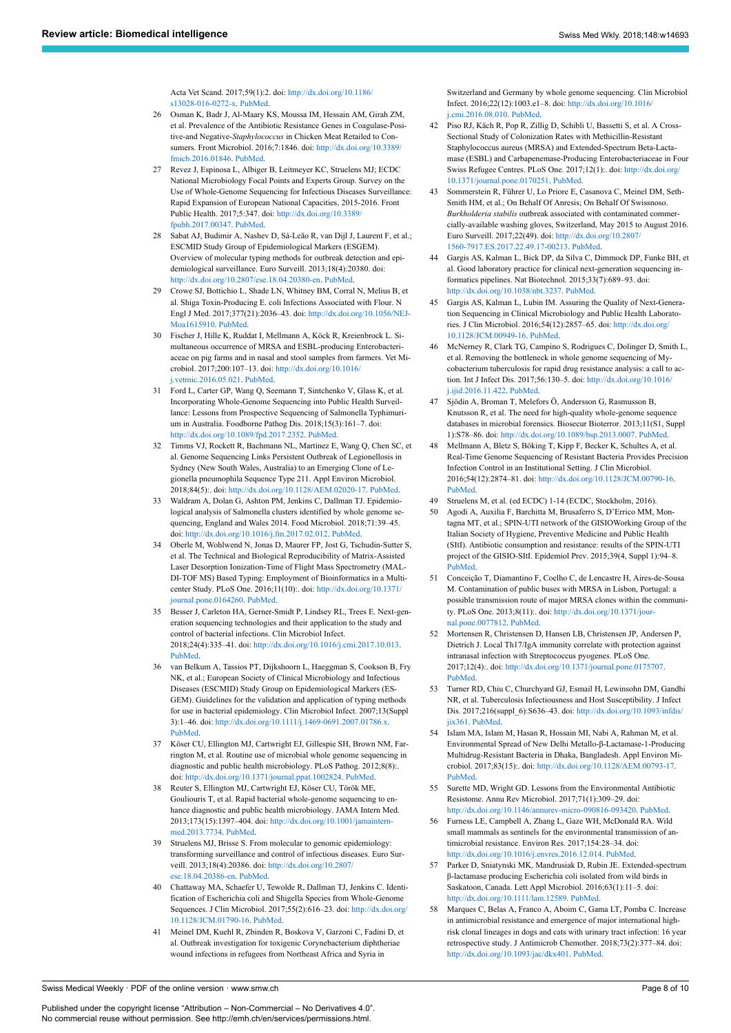Acta Vet Scand. 2017;59(1):2. doi: [http://dx.doi.org/10.1186/](http://dx.doi.org/10.1186/s13028-016-0272-x) [s13028-016-0272-x](http://dx.doi.org/10.1186/s13028-016-0272-x). [PubMed](http://www.ncbi.nlm.nih.gov/entrez/query.fcgi?cmd=Retrieve&db=PubMed&list_uids=28049493&dopt=Abstract).

- <span id="page-7-0"></span>26 Osman K, Badr J, Al-Maary KS, Moussa IM, Hessain AM, Girah ZM, et al. Prevalence of the Antibiotic Resistance Genes in Coagulase-Positive-and Negative-*Staphylococcus* in Chicken Meat Retailed to Consumers. Front Microbiol. 2016;7:1846. doi: [http://dx.doi.org/10.3389/](http://dx.doi.org/10.3389/fmicb.2016.01846) [fmicb.2016.01846](http://dx.doi.org/10.3389/fmicb.2016.01846). [PubMed.](http://www.ncbi.nlm.nih.gov/entrez/query.fcgi?cmd=Retrieve&db=PubMed&list_uids=27920760&dopt=Abstract)
- <span id="page-7-10"></span><span id="page-7-1"></span>27 Revez J, Espinosa L, Albiger B, Leitmeyer KC, Struelens MJ; ECDC National Microbiology Focal Points and Experts Group. Survey on the Use of Whole-Genome Sequencing for Infectious Diseases Surveillance: Rapid Expansion of European National Capacities, 2015-2016. Front Public Health. 2017;5:347. doi: [http://dx.doi.org/10.3389/](http://dx.doi.org/10.3389/fpubh.2017.00347) [fpubh.2017.00347](http://dx.doi.org/10.3389/fpubh.2017.00347). [PubMed.](http://www.ncbi.nlm.nih.gov/entrez/query.fcgi?cmd=Retrieve&db=PubMed&list_uids=29326921&dopt=Abstract)
- <span id="page-7-11"></span><span id="page-7-2"></span>28 Sabat AJ, Budimir A, Nashev D, Sá-Leão R, van Dijl J, Laurent F, et al.; ESCMID Study Group of Epidemiological Markers (ESGEM). Overview of molecular typing methods for outbreak detection and epidemiological surveillance. Euro Surveill. 2013;18(4):20380. doi: <http://dx.doi.org/10.2807/ese.18.04.20380-en>. [PubMed](http://www.ncbi.nlm.nih.gov/entrez/query.fcgi?cmd=Retrieve&db=PubMed&list_uids=23369389&dopt=Abstract).
- <span id="page-7-12"></span><span id="page-7-3"></span>29 Crowe SJ, Bottichio L, Shade LN, Whitney BM, Corral N, Melius B, et al. Shiga Toxin-Producing E. coli Infections Associated with Flour. N Engl J Med. 2017;377(21):2036–43. doi: [http://dx.doi.org/10.1056/NEJ-](http://dx.doi.org/10.1056/NEJMoa1615910)[Moa1615910.](http://dx.doi.org/10.1056/NEJMoa1615910) [PubMed](http://www.ncbi.nlm.nih.gov/entrez/query.fcgi?cmd=Retrieve&db=PubMed&list_uids=29166238&dopt=Abstract).
- <span id="page-7-13"></span>30 Fischer J, Hille K, Ruddat I, Mellmann A, Köck R, Kreienbrock L. Simultaneous occurrence of MRSA and ESBL-producing Enterobacteriaceae on pig farms and in nasal and stool samples from farmers. Vet Microbiol. 2017;200:107–13. doi: [http://dx.doi.org/10.1016/](http://dx.doi.org/10.1016/j.vetmic.2016.05.021) [j.vetmic.2016.05.021](http://dx.doi.org/10.1016/j.vetmic.2016.05.021). [PubMed.](http://www.ncbi.nlm.nih.gov/entrez/query.fcgi?cmd=Retrieve&db=PubMed&list_uids=27328620&dopt=Abstract)
- 31 Ford L, Carter GP, Wang Q, Seemann T, Sintchenko V, Glass K, et al. Incorporating Whole-Genome Sequencing into Public Health Surveillance: Lessons from Prospective Sequencing of Salmonella Typhimurium in Australia. Foodborne Pathog Dis. 2018;15(3):161–7. doi: [http://dx.doi.org/10.1089/fpd.2017.2352.](http://dx.doi.org/10.1089/fpd.2017.2352) [PubMed.](http://www.ncbi.nlm.nih.gov/entrez/query.fcgi?cmd=Retrieve&db=PubMed&list_uids=29336594&dopt=Abstract)
- <span id="page-7-14"></span>32 Timms VJ, Rockett R, Bachmann NL, Martinez E, Wang Q, Chen SC, et al. Genome Sequencing Links Persistent Outbreak of Legionellosis in Sydney (New South Wales, Australia) to an Emerging Clone of Legionella pneumophila Sequence Type 211. Appl Environ Microbiol. 2018;84(5):. doi: <http://dx.doi.org/10.1128/AEM.02020-17>. [PubMed](http://www.ncbi.nlm.nih.gov/entrez/query.fcgi?cmd=Retrieve&db=PubMed&list_uids=29247056&dopt=Abstract).
- <span id="page-7-15"></span><span id="page-7-4"></span>33 Waldram A, Dolan G, Ashton PM, Jenkins C, Dallman TJ. Epidemiological analysis of Salmonella clusters identified by whole genome sequencing, England and Wales 2014. Food Microbiol. 2018;71:39–45. doi: <http://dx.doi.org/10.1016/j.fm.2017.02.012>. [PubMed](http://www.ncbi.nlm.nih.gov/entrez/query.fcgi?cmd=Retrieve&db=PubMed&list_uids=29366467&dopt=Abstract).
- <span id="page-7-16"></span><span id="page-7-5"></span>34 Oberle M, Wohlwend N, Jonas D, Maurer FP, Jost G, Tschudin-Sutter S, et al. The Technical and Biological Reproducibility of Matrix-Assisted Laser Desorption Ionization-Time of Flight Mass Spectrometry (MAL-DI-TOF MS) Based Typing: Employment of Bioinformatics in a Multicenter Study. PLoS One. 2016;11(10):. doi: [http://dx.doi.org/10.1371/](http://dx.doi.org/10.1371/journal.pone.0164260) [journal.pone.0164260](http://dx.doi.org/10.1371/journal.pone.0164260). [PubMed](http://www.ncbi.nlm.nih.gov/entrez/query.fcgi?cmd=Retrieve&db=PubMed&list_uids=27798637&dopt=Abstract).
- <span id="page-7-17"></span><span id="page-7-6"></span>35 Besser J, Carleton HA, Gerner-Smidt P, Lindsey RL, Trees E. Next-generation sequencing technologies and their application to the study and control of bacterial infections. Clin Microbiol Infect. 2018;24(4):335–41. doi: <http://dx.doi.org/10.1016/j.cmi.2017.10.013>. [PubMed.](http://www.ncbi.nlm.nih.gov/entrez/query.fcgi?cmd=Retrieve&db=PubMed&list_uids=29074157&dopt=Abstract)
- <span id="page-7-18"></span><span id="page-7-7"></span>36 van Belkum A, Tassios PT, Dijkshoorn L, Haeggman S, Cookson B, Fry NK, et al.; European Society of Clinical Microbiology and Infectious Diseases (ESCMID) Study Group on Epidemiological Markers (ES-GEM). Guidelines for the validation and application of typing methods for use in bacterial epidemiology. Clin Microbiol Infect. 2007;13(Suppl 3):1–46. doi: [http://dx.doi.org/10.1111/j.1469-0691.2007.01786.x.](http://dx.doi.org/10.1111/j.1469-0691.2007.01786.x) [PubMed.](http://www.ncbi.nlm.nih.gov/entrez/query.fcgi?cmd=Retrieve&db=PubMed&list_uids=17716294&dopt=Abstract)
- <span id="page-7-19"></span>37 Köser CU, Ellington MJ, Cartwright EJ, Gillespie SH, Brown NM, Farrington M, et al. Routine use of microbial whole genome sequencing in diagnostic and public health microbiology. PLoS Pathog. 2012;8(8):. doi: <http://dx.doi.org/10.1371/journal.ppat.1002824>. [PubMed.](http://www.ncbi.nlm.nih.gov/entrez/query.fcgi?cmd=Retrieve&db=PubMed&list_uids=22876174&dopt=Abstract)
- <span id="page-7-20"></span>38 Reuter S, Ellington MJ, Cartwright EJ, Köser CU, Török ME, Gouliouris T, et al. Rapid bacterial whole-genome sequencing to enhance diagnostic and public health microbiology. JAMA Intern Med. 2013;173(15):1397–404. doi: [http://dx.doi.org/10.1001/jamaintern](http://dx.doi.org/10.1001/jamainternmed.2013.7734)[med.2013.7734.](http://dx.doi.org/10.1001/jamainternmed.2013.7734) [PubMed](http://www.ncbi.nlm.nih.gov/entrez/query.fcgi?cmd=Retrieve&db=PubMed&list_uids=23857503&dopt=Abstract).
- <span id="page-7-21"></span>39 Struelens MJ, Brisse S. From molecular to genomic epidemiology: transforming surveillance and control of infectious diseases. Euro Surveill. 2013;18(4):20386. doi: [http://dx.doi.org/10.2807/](http://dx.doi.org/10.2807/ese.18.04.20386-en) [ese.18.04.20386-en.](http://dx.doi.org/10.2807/ese.18.04.20386-en) [PubMed.](http://www.ncbi.nlm.nih.gov/entrez/query.fcgi?cmd=Retrieve&db=PubMed&list_uids=23369387&dopt=Abstract)
- 40 Chattaway MA, Schaefer U, Tewolde R, Dallman TJ, Jenkins C. Identification of Escherichia coli and Shigella Species from Whole-Genome Sequences. J Clin Microbiol. 2017;55(2):616–23. doi: [http://dx.doi.org/](http://dx.doi.org/10.1128/JCM.01790-16) [10.1128/JCM.01790-16](http://dx.doi.org/10.1128/JCM.01790-16). [PubMed](http://www.ncbi.nlm.nih.gov/entrez/query.fcgi?cmd=Retrieve&db=PubMed&list_uids=27974538&dopt=Abstract).
- 41 Meinel DM, Kuehl R, Zbinden R, Boskova V, Garzoni C, Fadini D, et al. Outbreak investigation for toxigenic Corynebacterium diphtheriae wound infections in refugees from Northeast Africa and Syria in

Switzerland and Germany by whole genome sequencing. Clin Microbiol Infect. 2016;22(12):1003.e1–8. doi: [http://dx.doi.org/10.1016/](http://dx.doi.org/10.1016/j.cmi.2016.08.010) [j.cmi.2016.08.010](http://dx.doi.org/10.1016/j.cmi.2016.08.010). [PubMed.](http://www.ncbi.nlm.nih.gov/entrez/query.fcgi?cmd=Retrieve&db=PubMed&list_uids=27585943&dopt=Abstract)

- 42 Piso RJ, Käch R, Pop R, Zillig D, Schibli U, Bassetti S, et al. A Cross-Sectional Study of Colonization Rates with Methicillin-Resistant Staphylococcus aureus (MRSA) and Extended-Spectrum Beta-Lactamase (ESBL) and Carbapenemase-Producing Enterobacteriaceae in Four Swiss Refugee Centres. PLoS One. 2017;12(1):. doi: [http://dx.doi.org/](http://dx.doi.org/10.1371/journal.pone.0170251) [10.1371/journal.pone.0170251](http://dx.doi.org/10.1371/journal.pone.0170251). [PubMed.](http://www.ncbi.nlm.nih.gov/entrez/query.fcgi?cmd=Retrieve&db=PubMed&list_uids=28085966&dopt=Abstract)
- 43 Sommerstein R, Führer U, Lo Priore E, Casanova C, Meinel DM, Seth-Smith HM, et al.; On Behalf Of Anresis; On Behalf Of Swissnoso. *Burkholderia stabilis* outbreak associated with contaminated commercially-available washing gloves, Switzerland, May 2015 to August 2016. Euro Surveill. 2017;22(49). doi: [http://dx.doi.org/10.2807/](http://dx.doi.org/10.2807/1560-7917.ES.2017.22.49.17-00213) [1560-7917.ES.2017.22.49.17-00213.](http://dx.doi.org/10.2807/1560-7917.ES.2017.22.49.17-00213) [PubMed.](http://www.ncbi.nlm.nih.gov/entrez/query.fcgi?cmd=Retrieve&db=PubMed&list_uids=29233255&dopt=Abstract)
- 44 Gargis AS, Kalman L, Bick DP, da Silva C, Dimmock DP, Funke BH, et al. Good laboratory practice for clinical next-generation sequencing informatics pipelines. Nat Biotechnol. 2015;33(7):689–93. doi: [http://dx.doi.org/10.1038/nbt.3237.](http://dx.doi.org/10.1038/nbt.3237) [PubMed.](http://www.ncbi.nlm.nih.gov/entrez/query.fcgi?cmd=Retrieve&db=PubMed&list_uids=26154004&dopt=Abstract)
- 45 Gargis AS, Kalman L, Lubin IM. Assuring the Quality of Next-Generation Sequencing in Clinical Microbiology and Public Health Laboratories. J Clin Microbiol. 2016;54(12):2857–65. doi: [http://dx.doi.org/](http://dx.doi.org/10.1128/JCM.00949-16) [10.1128/JCM.00949-16.](http://dx.doi.org/10.1128/JCM.00949-16) [PubMed.](http://www.ncbi.nlm.nih.gov/entrez/query.fcgi?cmd=Retrieve&db=PubMed&list_uids=27510831&dopt=Abstract)
- 46 McNerney R, Clark TG, Campino S, Rodrigues C, Dolinger D, Smith L, et al. Removing the bottleneck in whole genome sequencing of Mycobacterium tuberculosis for rapid drug resistance analysis: a call to action. Int J Infect Dis. 2017;56:130–5. doi: [http://dx.doi.org/10.1016/](http://dx.doi.org/10.1016/j.ijid.2016.11.422) [j.ijid.2016.11.422](http://dx.doi.org/10.1016/j.ijid.2016.11.422). [PubMed](http://www.ncbi.nlm.nih.gov/entrez/query.fcgi?cmd=Retrieve&db=PubMed&list_uids=27986491&dopt=Abstract).
- 47 Sjödin A, Broman T, Melefors Ö, Andersson G, Rasmusson B, Knutsson R, et al. The need for high-quality whole-genome sequence databases in microbial forensics. Biosecur Bioterror. 2013;11(S1, Suppl 1):S78–86. doi: <http://dx.doi.org/10.1089/bsp.2013.0007>. [PubMed](http://www.ncbi.nlm.nih.gov/entrez/query.fcgi?cmd=Retrieve&db=PubMed&list_uids=23971825&dopt=Abstract).
- 48 Mellmann A, Bletz S, Böking T, Kipp F, Becker K, Schultes A, et al. Real-Time Genome Sequencing of Resistant Bacteria Provides Precision Infection Control in an Institutional Setting. J Clin Microbiol. 2016;54(12):2874–81. doi: [http://dx.doi.org/10.1128/JCM.00790-16.](http://dx.doi.org/10.1128/JCM.00790-16) [PubMed](http://www.ncbi.nlm.nih.gov/entrez/query.fcgi?cmd=Retrieve&db=PubMed&list_uids=27558178&dopt=Abstract).
- 49 Struelens M, et al. (ed ECDC) 1-14 (ECDC, Stockholm, 2016).
- 50 Agodi A, Auxilia F, Barchitta M, Brusaferro S, D'Errico MM, Montagna MT, et al.; SPIN-UTI network of the GISIOWorking Group of the Italian Society of Hygiene, Preventive Medicine and Public Health (SItI). Antibiotic consumption and resistance: results of the SPIN-UTI project of the GISIO-SItI. Epidemiol Prev. 2015;39(4, Suppl 1):94–8. [PubMed](http://www.ncbi.nlm.nih.gov/entrez/query.fcgi?cmd=Retrieve&db=PubMed&list_uids=26499423&dopt=Abstract).
- 51 Conceição T, Diamantino F, Coelho C, de Lencastre H, Aires-de-Sousa M. Contamination of public buses with MRSA in Lisbon, Portugal: a possible transmission route of major MRSA clones within the community. PLoS One. 2013;8(11):. doi: [http://dx.doi.org/10.1371/jour](http://dx.doi.org/10.1371/journal.pone.0077812)[nal.pone.0077812.](http://dx.doi.org/10.1371/journal.pone.0077812) [PubMed.](http://www.ncbi.nlm.nih.gov/entrez/query.fcgi?cmd=Retrieve&db=PubMed&list_uids=24223124&dopt=Abstract)
- 52 Mortensen R, Christensen D, Hansen LB, Christensen JP, Andersen P, Dietrich J. Local Th17/IgA immunity correlate with protection against intranasal infection with Streptococcus pyogenes. PLoS One. 2017;12(4):. doi: <http://dx.doi.org/10.1371/journal.pone.0175707>. [PubMed](http://www.ncbi.nlm.nih.gov/entrez/query.fcgi?cmd=Retrieve&db=PubMed&list_uids=28414746&dopt=Abstract).
- 53 Turner RD, Chiu C, Churchyard GJ, Esmail H, Lewinsohn DM, Gandhi NR, et al. Tuberculosis Infectiousness and Host Susceptibility. J Infect Dis. 2017;216(suppl\_6):S636–43. doi: [http://dx.doi.org/10.1093/infdis/](http://dx.doi.org/10.1093/infdis/jix361) [jix361.](http://dx.doi.org/10.1093/infdis/jix361) [PubMed.](http://www.ncbi.nlm.nih.gov/entrez/query.fcgi?cmd=Retrieve&db=PubMed&list_uids=29112746&dopt=Abstract)
- 54 Islam MA, Islam M, Hasan R, Hossain MI, Nabi A, Rahman M, et al. Environmental Spread of New Delhi Metallo-β-Lactamase-1-Producing Multidrug-Resistant Bacteria in Dhaka, Bangladesh. Appl Environ Microbiol. 2017;83(15):. doi: <http://dx.doi.org/10.1128/AEM.00793-17>. [PubMed](http://www.ncbi.nlm.nih.gov/entrez/query.fcgi?cmd=Retrieve&db=PubMed&list_uids=28526792&dopt=Abstract).
- 55 Surette MD, Wright GD. Lessons from the Environmental Antibiotic Resistome. Annu Rev Microbiol. 2017;71(1):309–29. doi: <http://dx.doi.org/10.1146/annurev-micro-090816-093420>. [PubMed](http://www.ncbi.nlm.nih.gov/entrez/query.fcgi?cmd=Retrieve&db=PubMed&list_uids=28657887&dopt=Abstract).
- 56 Furness LE, Campbell A, Zhang L, Gaze WH, McDonald RA. Wild small mammals as sentinels for the environmental transmission of antimicrobial resistance. Environ Res. 2017;154:28–34. doi: <http://dx.doi.org/10.1016/j.envres.2016.12.014>. [PubMed.](http://www.ncbi.nlm.nih.gov/entrez/query.fcgi?cmd=Retrieve&db=PubMed&list_uids=28013185&dopt=Abstract)
- 57 Parker D, Sniatynski MK, Mandrusiak D, Rubin JE. Extended-spectrum β-lactamase producing Escherichia coli isolated from wild birds in Saskatoon, Canada. Lett Appl Microbiol. 2016;63(1):11–5. doi: [http://dx.doi.org/10.1111/lam.12589.](http://dx.doi.org/10.1111/lam.12589) [PubMed.](http://www.ncbi.nlm.nih.gov/entrez/query.fcgi?cmd=Retrieve&db=PubMed&list_uids=27214496&dopt=Abstract)
- 58 Marques C, Belas A, Franco A, Aboim C, Gama LT, Pomba C. Increase in antimicrobial resistance and emergence of major international highrisk clonal lineages in dogs and cats with urinary tract infection: 16 year retrospective study. J Antimicrob Chemother. 2018;73(2):377–84. doi: [http://dx.doi.org/10.1093/jac/dkx401.](http://dx.doi.org/10.1093/jac/dkx401) [PubMed.](http://www.ncbi.nlm.nih.gov/entrez/query.fcgi?cmd=Retrieve&db=PubMed&list_uids=29136156&dopt=Abstract)

<span id="page-7-22"></span><span id="page-7-9"></span><span id="page-7-8"></span>Swiss Medical Weekly · PDF of the online version · www.smw.ch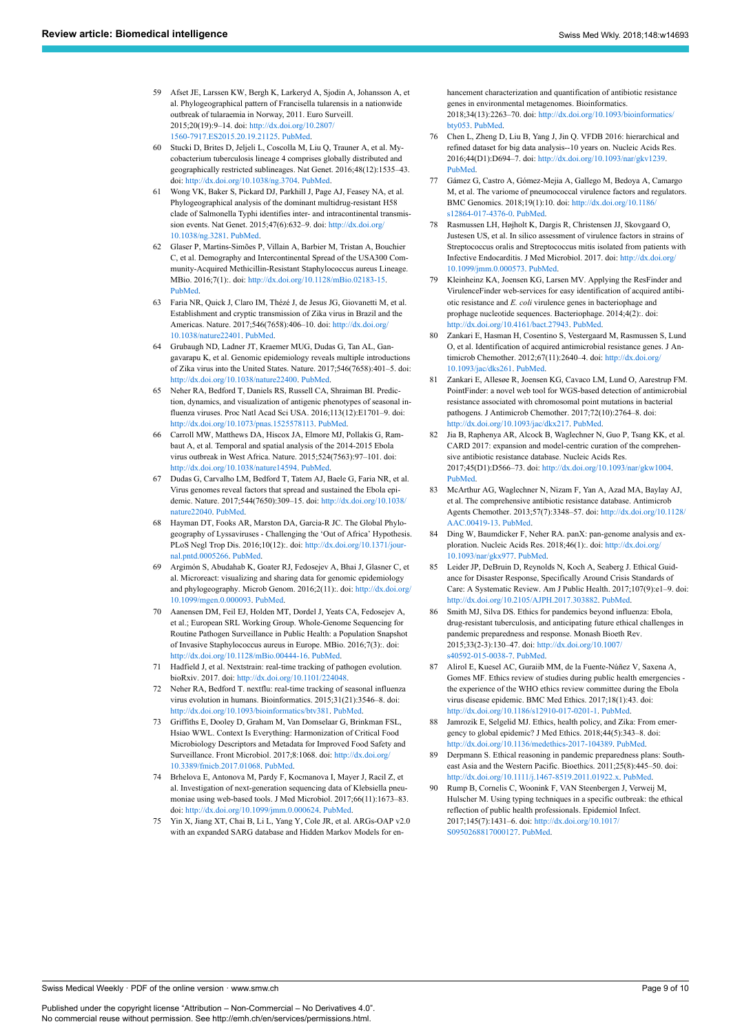- <span id="page-8-0"></span>59 Afset JE, Larssen KW, Bergh K, Larkeryd A, Sjodin A, Johansson A, et al. Phylogeographical pattern of Francisella tularensis in a nationwide outbreak of tularaemia in Norway, 2011. Euro Surveill. 2015;20(19):9–14. doi: [http://dx.doi.org/10.2807/](http://dx.doi.org/10.2807/1560-7917.ES2015.20.19.21125) [1560-7917.ES2015.20.19.21125](http://dx.doi.org/10.2807/1560-7917.ES2015.20.19.21125). [PubMed.](http://www.ncbi.nlm.nih.gov/entrez/query.fcgi?cmd=Retrieve&db=PubMed&list_uids=25990357&dopt=Abstract)
- <span id="page-8-17"></span><span id="page-8-1"></span>60 Stucki D, Brites D, Jeljeli L, Coscolla M, Liu Q, Trauner A, et al. Mycobacterium tuberculosis lineage 4 comprises globally distributed and geographically restricted sublineages. Nat Genet. 2016;48(12):1535–43. doi: <http://dx.doi.org/10.1038/ng.3704>. [PubMed.](http://www.ncbi.nlm.nih.gov/entrez/query.fcgi?cmd=Retrieve&db=PubMed&list_uids=27798628&dopt=Abstract)
- <span id="page-8-2"></span>61 Wong VK, Baker S, Pickard DJ, Parkhill J, Page AJ, Feasey NA, et al. Phylogeographical analysis of the dominant multidrug-resistant H58 clade of Salmonella Typhi identifies inter- and intracontinental transmission events. Nat Genet. 2015;47(6):632–9. doi: [http://dx.doi.org/](http://dx.doi.org/10.1038/ng.3281) [10.1038/ng.3281.](http://dx.doi.org/10.1038/ng.3281) [PubMed.](http://www.ncbi.nlm.nih.gov/entrez/query.fcgi?cmd=Retrieve&db=PubMed&list_uids=25961941&dopt=Abstract)
- <span id="page-8-19"></span><span id="page-8-18"></span><span id="page-8-3"></span>62 Glaser P, Martins-Simões P, Villain A, Barbier M, Tristan A, Bouchier C, et al. Demography and Intercontinental Spread of the USA300 Community-Acquired Methicillin-Resistant Staphylococcus aureus Lineage. MBio. 2016;7(1):. doi: [http://dx.doi.org/10.1128/mBio.02183-15.](http://dx.doi.org/10.1128/mBio.02183-15) [PubMed.](http://www.ncbi.nlm.nih.gov/entrez/query.fcgi?cmd=Retrieve&db=PubMed&list_uids=26884428&dopt=Abstract)
- <span id="page-8-4"></span>63 Faria NR, Quick J, Claro IM, Thézé J, de Jesus JG, Giovanetti M, et al. Establishment and cryptic transmission of Zika virus in Brazil and the Americas. Nature. 2017;546(7658):406–10. doi: [http://dx.doi.org/](http://dx.doi.org/10.1038/nature22401) [10.1038/nature22401](http://dx.doi.org/10.1038/nature22401). [PubMed.](http://www.ncbi.nlm.nih.gov/entrez/query.fcgi?cmd=Retrieve&db=PubMed&list_uids=28538727&dopt=Abstract)
- <span id="page-8-20"></span><span id="page-8-5"></span>64 Grubaugh ND, Ladner JT, Kraemer MUG, Dudas G, Tan AL, Gangavarapu K, et al. Genomic epidemiology reveals multiple introductions of Zika virus into the United States. Nature. 2017;546(7658):401–5. doi: <http://dx.doi.org/10.1038/nature22400>. [PubMed](http://www.ncbi.nlm.nih.gov/entrez/query.fcgi?cmd=Retrieve&db=PubMed&list_uids=28538723&dopt=Abstract).
- <span id="page-8-21"></span><span id="page-8-6"></span>65 Neher RA, Bedford T, Daniels RS, Russell CA, Shraiman BI. Prediction, dynamics, and visualization of antigenic phenotypes of seasonal influenza viruses. Proc Natl Acad Sci USA. 2016;113(12):E1701–9. doi: [http://dx.doi.org/10.1073/pnas.1525578113.](http://dx.doi.org/10.1073/pnas.1525578113) [PubMed](http://www.ncbi.nlm.nih.gov/entrez/query.fcgi?cmd=Retrieve&db=PubMed&list_uids=26951657&dopt=Abstract).
- <span id="page-8-7"></span>66 Carroll MW, Matthews DA, Hiscox JA, Elmore MJ, Pollakis G, Rambaut A, et al. Temporal and spatial analysis of the 2014-2015 Ebola virus outbreak in West Africa. Nature. 2015;524(7563):97–101. doi: <http://dx.doi.org/10.1038/nature14594>. [PubMed](http://www.ncbi.nlm.nih.gov/entrez/query.fcgi?cmd=Retrieve&db=PubMed&list_uids=26083749&dopt=Abstract).
- <span id="page-8-22"></span><span id="page-8-8"></span>67 Dudas G, Carvalho LM, Bedford T, Tatem AJ, Baele G, Faria NR, et al. Virus genomes reveal factors that spread and sustained the Ebola epidemic. Nature. 2017;544(7650):309–15. doi: [http://dx.doi.org/10.1038/](http://dx.doi.org/10.1038/nature22040) [nature22040.](http://dx.doi.org/10.1038/nature22040) [PubMed.](http://www.ncbi.nlm.nih.gov/entrez/query.fcgi?cmd=Retrieve&db=PubMed&list_uids=28405027&dopt=Abstract)
- <span id="page-8-23"></span><span id="page-8-9"></span>68 Hayman DT, Fooks AR, Marston DA, Garcia-R JC. The Global Phylogeography of Lyssaviruses - Challenging the 'Out of Africa' Hypothesis. PLoS Negl Trop Dis. 2016;10(12):. doi: [http://dx.doi.org/10.1371/jour](http://dx.doi.org/10.1371/journal.pntd.0005266)[nal.pntd.0005266](http://dx.doi.org/10.1371/journal.pntd.0005266). [PubMed](http://www.ncbi.nlm.nih.gov/entrez/query.fcgi?cmd=Retrieve&db=PubMed&list_uids=28036390&dopt=Abstract).
- <span id="page-8-10"></span>69 Argimón S, Abudahab K, Goater RJ, Fedosejev A, Bhai J, Glasner C, et al. Microreact: visualizing and sharing data for genomic epidemiology and phylogeography. Microb Genom. 2016;2(11):. doi: [http://dx.doi.org/](http://dx.doi.org/10.1099/mgen.0.000093) [10.1099/mgen.0.000093.](http://dx.doi.org/10.1099/mgen.0.000093) [PubMed.](http://www.ncbi.nlm.nih.gov/entrez/query.fcgi?cmd=Retrieve&db=PubMed&list_uids=28348833&dopt=Abstract)
- <span id="page-8-11"></span>70 Aanensen DM, Feil EJ, Holden MT, Dordel J, Yeats CA, Fedosejev A, et al.; European SRL Working Group. Whole-Genome Sequencing for Routine Pathogen Surveillance in Public Health: a Population Snapshot of Invasive Staphylococcus aureus in Europe. MBio. 2016;7(3):. doi: [http://dx.doi.org/10.1128/mBio.00444-16.](http://dx.doi.org/10.1128/mBio.00444-16) [PubMed.](http://www.ncbi.nlm.nih.gov/entrez/query.fcgi?cmd=Retrieve&db=PubMed&list_uids=27150362&dopt=Abstract)
- <span id="page-8-12"></span>71 Hadfield J, et al. Nextstrain: real-time tracking of pathogen evolution. bioRxiv. 2017. doi: [http://dx.doi.org/10.1101/224048.](http://dx.doi.org/10.1101/224048)
- <span id="page-8-13"></span>72 Neher RA, Bedford T. nextflu: real-time tracking of seasonal influenza virus evolution in humans. Bioinformatics. 2015;31(21):3546–8. doi: <http://dx.doi.org/10.1093/bioinformatics/btv381>. [PubMed.](http://www.ncbi.nlm.nih.gov/entrez/query.fcgi?cmd=Retrieve&db=PubMed&list_uids=26115986&dopt=Abstract)
- <span id="page-8-14"></span>73 Griffiths E, Dooley D, Graham M, Van Domselaar G, Brinkman FSL, Hsiao WWL. Context Is Everything: Harmonization of Critical Food Microbiology Descriptors and Metadata for Improved Food Safety and Surveillance. Front Microbiol. 2017;8:1068. doi: [http://dx.doi.org/](http://dx.doi.org/10.3389/fmicb.2017.01068) [10.3389/fmicb.2017.01068](http://dx.doi.org/10.3389/fmicb.2017.01068). [PubMed](http://www.ncbi.nlm.nih.gov/entrez/query.fcgi?cmd=Retrieve&db=PubMed&list_uids=28694792&dopt=Abstract).
- <span id="page-8-25"></span><span id="page-8-24"></span><span id="page-8-15"></span>74 Brhelova E, Antonova M, Pardy F, Kocmanova I, Mayer J, Racil Z, et al. Investigation of next-generation sequencing data of Klebsiella pneumoniae using web-based tools. J Med Microbiol. 2017;66(11):1673–83. doi: [http://dx.doi.org/10.1099/jmm.0.000624.](http://dx.doi.org/10.1099/jmm.0.000624) [PubMed](http://www.ncbi.nlm.nih.gov/entrez/query.fcgi?cmd=Retrieve&db=PubMed&list_uids=29068275&dopt=Abstract).
- <span id="page-8-16"></span>75 Yin X, Jiang XT, Chai B, Li L, Yang Y, Cole JR, et al. ARGs-OAP v2.0 with an expanded SARG database and Hidden Markov Models for en-

hancement characterization and quantification of antibiotic resistance genes in environmental metagenomes. Bioinformatics. 2018;34(13):2263–70. doi: [http://dx.doi.org/10.1093/bioinformatics/](http://dx.doi.org/10.1093/bioinformatics/bty053) [bty053.](http://dx.doi.org/10.1093/bioinformatics/bty053) [PubMed](http://www.ncbi.nlm.nih.gov/entrez/query.fcgi?cmd=Retrieve&db=PubMed&list_uids=29408954&dopt=Abstract).

- 76 Chen L, Zheng D, Liu B, Yang J, Jin Q. VFDB 2016: hierarchical and refined dataset for big data analysis--10 years on. Nucleic Acids Res. 2016;44(D1):D694–7. doi: [http://dx.doi.org/10.1093/nar/gkv1239.](http://dx.doi.org/10.1093/nar/gkv1239) [PubMed](http://www.ncbi.nlm.nih.gov/entrez/query.fcgi?cmd=Retrieve&db=PubMed&list_uids=26578559&dopt=Abstract).
- 77 Gámez G, Castro A, Gómez-Mejia A, Gallego M, Bedoya A, Camargo M, et al. The variome of pneumococcal virulence factors and regulators. BMC Genomics. 2018;19(1):10. doi: [http://dx.doi.org/10.1186/](http://dx.doi.org/10.1186/s12864-017-4376-0) [s12864-017-4376-0](http://dx.doi.org/10.1186/s12864-017-4376-0). [PubMed.](http://www.ncbi.nlm.nih.gov/entrez/query.fcgi?cmd=Retrieve&db=PubMed&list_uids=29298677&dopt=Abstract)
- 78 Rasmussen LH, Højholt K, Dargis R, Christensen JJ, Skovgaard O, Justesen US, et al. In silico assessment of virulence factors in strains of Streptococcus oralis and Streptococcus mitis isolated from patients with Infective Endocarditis. J Med Microbiol. 2017. doi: [http://dx.doi.org/](http://dx.doi.org/10.1099/jmm.0.000573) [10.1099/jmm.0.000573](http://dx.doi.org/10.1099/jmm.0.000573). [PubMed.](http://www.ncbi.nlm.nih.gov/entrez/query.fcgi?cmd=Retrieve&db=PubMed&list_uids=28874232&dopt=Abstract)
- 79 Kleinheinz KA, Joensen KG, Larsen MV. Applying the ResFinder and VirulenceFinder web-services for easy identification of acquired antibiotic resistance and *E. coli* virulence genes in bacteriophage and prophage nucleotide sequences. Bacteriophage. 2014;4(2):. doi: <http://dx.doi.org/10.4161/bact.27943>. [PubMed.](http://www.ncbi.nlm.nih.gov/entrez/query.fcgi?cmd=Retrieve&db=PubMed&list_uids=24575358&dopt=Abstract)
- 80 Zankari E, Hasman H, Cosentino S, Vestergaard M, Rasmussen S, Lund O, et al. Identification of acquired antimicrobial resistance genes. J Antimicrob Chemother. 2012;67(11):2640–4. doi: [http://dx.doi.org/](http://dx.doi.org/10.1093/jac/dks261) [10.1093/jac/dks261](http://dx.doi.org/10.1093/jac/dks261). [PubMed.](http://www.ncbi.nlm.nih.gov/entrez/query.fcgi?cmd=Retrieve&db=PubMed&list_uids=22782487&dopt=Abstract)
- 81 Zankari E, Allesøe R, Joensen KG, Cavaco LM, Lund O, Aarestrup FM. PointFinder: a novel web tool for WGS-based detection of antimicrobial resistance associated with chromosomal point mutations in bacterial pathogens. J Antimicrob Chemother. 2017;72(10):2764–8. doi: [http://dx.doi.org/10.1093/jac/dkx217.](http://dx.doi.org/10.1093/jac/dkx217) [PubMed.](http://www.ncbi.nlm.nih.gov/entrez/query.fcgi?cmd=Retrieve&db=PubMed&list_uids=29091202&dopt=Abstract)
- 82 Jia B, Raphenya AR, Alcock B, Waglechner N, Guo P, Tsang KK, et al. CARD 2017: expansion and model-centric curation of the comprehensive antibiotic resistance database. Nucleic Acids Res. 2017;45(D1):D566–73. doi: [http://dx.doi.org/10.1093/nar/gkw1004.](http://dx.doi.org/10.1093/nar/gkw1004) [PubMed](http://www.ncbi.nlm.nih.gov/entrez/query.fcgi?cmd=Retrieve&db=PubMed&list_uids=27789705&dopt=Abstract).
- 83 McArthur AG, Waglechner N, Nizam F, Yan A, Azad MA, Baylay AJ, et al. The comprehensive antibiotic resistance database. Antimicrob Agents Chemother. 2013;57(7):3348–57. doi: [http://dx.doi.org/10.1128/](http://dx.doi.org/10.1128/AAC.00419-13) [AAC.00419-13](http://dx.doi.org/10.1128/AAC.00419-13). [PubMed](http://www.ncbi.nlm.nih.gov/entrez/query.fcgi?cmd=Retrieve&db=PubMed&list_uids=23650175&dopt=Abstract).
- 84 Ding W, Baumdicker F, Neher RA, panX: pan-genome analysis and exploration. Nucleic Acids Res. 2018;46(1):. doi: [http://dx.doi.org/](http://dx.doi.org/10.1093/nar/gkx977) [10.1093/nar/gkx977.](http://dx.doi.org/10.1093/nar/gkx977) [PubMed](http://www.ncbi.nlm.nih.gov/entrez/query.fcgi?cmd=Retrieve&db=PubMed&list_uids=29077859&dopt=Abstract).
- 85 Leider JP, DeBruin D, Reynolds N, Koch A, Seaberg J. Ethical Guidance for Disaster Response, Specifically Around Crisis Standards of Care: A Systematic Review. Am J Public Health. 2017;107(9):e1–9. doi: [http://dx.doi.org/10.2105/AJPH.2017.303882.](http://dx.doi.org/10.2105/AJPH.2017.303882) [PubMed](http://www.ncbi.nlm.nih.gov/entrez/query.fcgi?cmd=Retrieve&db=PubMed&list_uids=28727521&dopt=Abstract).
- 86 Smith MJ, Silva DS. Ethics for pandemics beyond influenza: Ebola, drug-resistant tuberculosis, and anticipating future ethical challenges in pandemic preparedness and response. Monash Bioeth Rev. 2015;33(2-3):130–47. doi: [http://dx.doi.org/10.1007/](http://dx.doi.org/10.1007/s40592-015-0038-7) [s40592-015-0038-7](http://dx.doi.org/10.1007/s40592-015-0038-7). [PubMed.](http://www.ncbi.nlm.nih.gov/entrez/query.fcgi?cmd=Retrieve&db=PubMed&list_uids=26507138&dopt=Abstract)
- 87 Alirol E, Kuesel AC, Guraiib MM, de la Fuente-Núñez V, Saxena A, Gomes MF. Ethics review of studies during public health emergencies the experience of the WHO ethics review committee during the Ebola virus disease epidemic. BMC Med Ethics. 2017;18(1):43. doi: [http://dx.doi.org/10.1186/s12910-017-0201-1.](http://dx.doi.org/10.1186/s12910-017-0201-1) [PubMed.](http://www.ncbi.nlm.nih.gov/entrez/query.fcgi?cmd=Retrieve&db=PubMed&list_uids=28651650&dopt=Abstract)
- 88 Jamrozik E, Selgelid MJ. Ethics, health policy, and Zika: From emergency to global epidemic? J Med Ethics. 2018;44(5):343–8. doi: <http://dx.doi.org/10.1136/medethics-2017-104389>. [PubMed](http://www.ncbi.nlm.nih.gov/entrez/query.fcgi?cmd=Retrieve&db=PubMed&list_uids=29146711&dopt=Abstract).
- 89 Derpmann S. Ethical reasoning in pandemic preparedness plans: Southeast Asia and the Western Pacific. Bioethics. 2011;25(8):445–50. doi: <http://dx.doi.org/10.1111/j.1467-8519.2011.01922.x>. [PubMed.](http://www.ncbi.nlm.nih.gov/entrez/query.fcgi?cmd=Retrieve&db=PubMed&list_uids=21929703&dopt=Abstract)
- Rump B, Cornelis C, Woonink F, VAN Steenbergen J, Verweij M, Hulscher M. Using typing techniques in a specific outbreak: the ethical reflection of public health professionals. Epidemiol Infect. 2017;145(7):1431–6. doi: [http://dx.doi.org/10.1017/](http://dx.doi.org/10.1017/S0950268817000127) [S0950268817000127.](http://dx.doi.org/10.1017/S0950268817000127) [PubMed](http://www.ncbi.nlm.nih.gov/entrez/query.fcgi?cmd=Retrieve&db=PubMed&list_uids=28190403&dopt=Abstract).

Swiss Medical Weekly · PDF of the online version · www.smw.ch

Published under the copyright license "Attribution – Non-Commercial – No Derivatives 4.0". No commercial reuse without permission. See http://emh.ch/en/services/permissions.html.